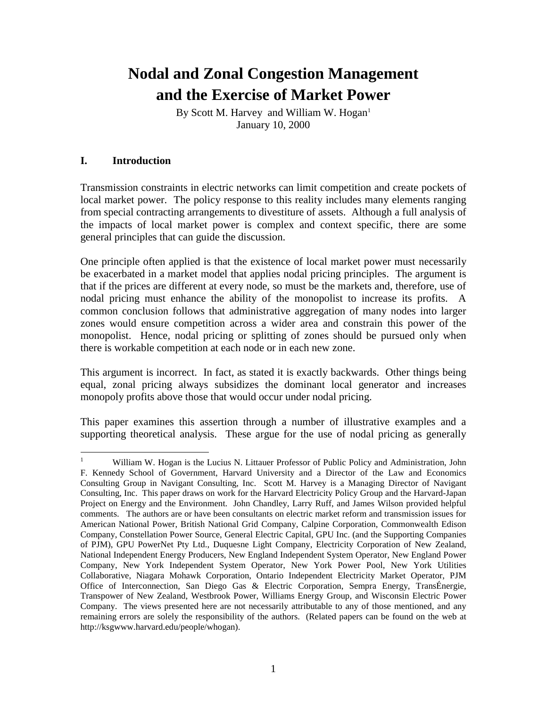## **Nodal and Zonal Congestion Management and the Exercise of Market Power**

By Scott M. Harvey and William W. Hogan<sup>1</sup> January 10, 2000

## **I. Introduction**

Transmission constraints in electric networks can limit competition and create pockets of local market power. The policy response to this reality includes many elements ranging from special contracting arrangements to divestiture of assets. Although a full analysis of the impacts of local market power is complex and context specific, there are some general principles that can guide the discussion.

One principle often applied is that the existence of local market power must necessarily be exacerbated in a market model that applies nodal pricing principles. The argument is that if the prices are different at every node, so must be the markets and, therefore, use of nodal pricing must enhance the ability of the monopolist to increase its profits. A common conclusion follows that administrative aggregation of many nodes into larger zones would ensure competition across a wider area and constrain this power of the monopolist. Hence, nodal pricing or splitting of zones should be pursued only when there is workable competition at each node or in each new zone.

This argument is incorrect. In fact, as stated it is exactly backwards. Other things being equal, zonal pricing always subsidizes the dominant local generator and increases monopoly profits above those that would occur under nodal pricing.

This paper examines this assertion through a number of illustrative examples and a supporting theoretical analysis. These argue for the use of nodal pricing as generally

 $\mathbf{1}$ <sup>1</sup> William W. Hogan is the Lucius N. Littauer Professor of Public Policy and Administration, John F. Kennedy School of Government, Harvard University and a Director of the Law and Economics Consulting Group in Navigant Consulting, Inc. Scott M. Harvey is a Managing Director of Navigant Consulting, Inc. This paper draws on work for the Harvard Electricity Policy Group and the Harvard-Japan Project on Energy and the Environment. John Chandley, Larry Ruff, and James Wilson provided helpful comments. The authors are or have been consultants on electric market reform and transmission issues for American National Power, British National Grid Company, Calpine Corporation, Commonwealth Edison Company, Constellation Power Source, General Electric Capital, GPU Inc. (and the Supporting Companies of PJM), GPU PowerNet Pty Ltd., Duquesne Light Company, Electricity Corporation of New Zealand, National Independent Energy Producers, New England Independent System Operator, New England Power Company, New York Independent System Operator, New York Power Pool, New York Utilities Collaborative, Niagara Mohawk Corporation, Ontario Independent Electricity Market Operator, PJM Office of Interconnection, San Diego Gas & Electric Corporation, Sempra Energy, TransÉnergie, Transpower of New Zealand, Westbrook Power, Williams Energy Group, and Wisconsin Electric Power Company. The views presented here are not necessarily attributable to any of those mentioned, and any remaining errors are solely the responsibility of the authors. (Related papers can be found on the web at http://ksgwww.harvard.edu/people/whogan).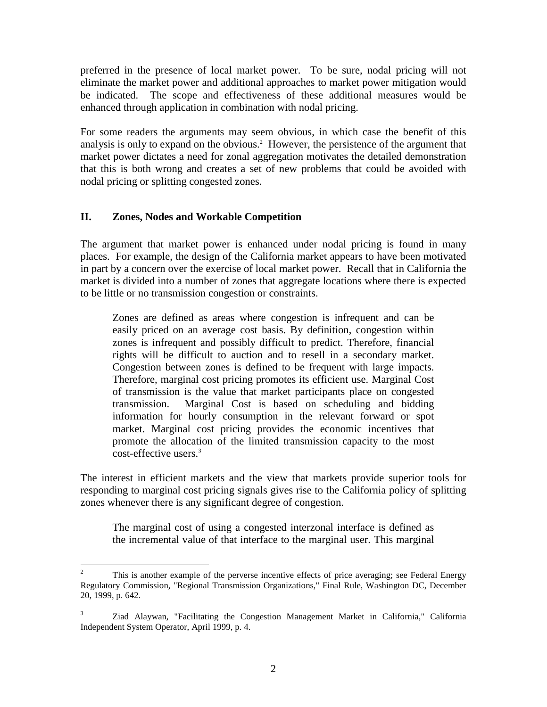preferred in the presence of local market power. To be sure, nodal pricing will not eliminate the market power and additional approaches to market power mitigation would be indicated. The scope and effectiveness of these additional measures would be enhanced through application in combination with nodal pricing.

For some readers the arguments may seem obvious, in which case the benefit of this analysis is only to expand on the obvious.<sup>2</sup> However, the persistence of the argument that market power dictates a need for zonal aggregation motivates the detailed demonstration that this is both wrong and creates a set of new problems that could be avoided with nodal pricing or splitting congested zones.

## **II. Zones, Nodes and Workable Competition**

The argument that market power is enhanced under nodal pricing is found in many places. For example, the design of the California market appears to have been motivated in part by a concern over the exercise of local market power. Recall that in California the market is divided into a number of zones that aggregate locations where there is expected to be little or no transmission congestion or constraints.

Zones are defined as areas where congestion is infrequent and can be easily priced on an average cost basis. By definition, congestion within zones is infrequent and possibly difficult to predict. Therefore, financial rights will be difficult to auction and to resell in a secondary market. Congestion between zones is defined to be frequent with large impacts. Therefore, marginal cost pricing promotes its efficient use. Marginal Cost of transmission is the value that market participants place on congested transmission. Marginal Cost is based on scheduling and bidding information for hourly consumption in the relevant forward or spot market. Marginal cost pricing provides the economic incentives that promote the allocation of the limited transmission capacity to the most cost-effective users.<sup>3</sup>

The interest in efficient markets and the view that markets provide superior tools for responding to marginal cost pricing signals gives rise to the California policy of splitting zones whenever there is any significant degree of congestion.

The marginal cost of using a congested interzonal interface is defined as the incremental value of that interface to the marginal user. This marginal

 $\frac{1}{2}$  This is another example of the perverse incentive effects of price averaging; see Federal Energy Regulatory Commission, "Regional Transmission Organizations," Final Rule, Washington DC, December 20, 1999, p. 642.

<sup>3</sup> Ziad Alaywan, "Facilitating the Congestion Management Market in California," California Independent System Operator, April 1999, p. 4.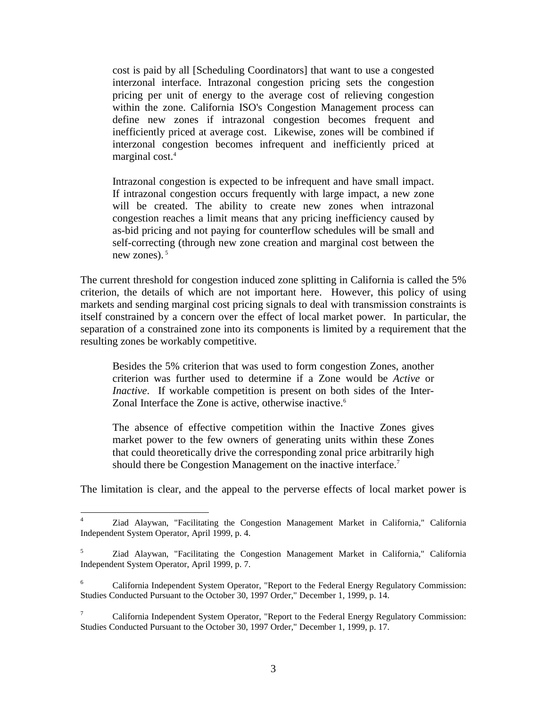cost is paid by all [Scheduling Coordinators] that want to use a congested interzonal interface. Intrazonal congestion pricing sets the congestion pricing per unit of energy to the average cost of relieving congestion within the zone. California ISO's Congestion Management process can define new zones if intrazonal congestion becomes frequent and inefficiently priced at average cost. Likewise, zones will be combined if interzonal congestion becomes infrequent and inefficiently priced at marginal cost.<sup>4</sup>

Intrazonal congestion is expected to be infrequent and have small impact. If intrazonal congestion occurs frequently with large impact, a new zone will be created. The ability to create new zones when intrazonal congestion reaches a limit means that any pricing inefficiency caused by as-bid pricing and not paying for counterflow schedules will be small and self-correcting (through new zone creation and marginal cost between the new zones). $5$ 

The current threshold for congestion induced zone splitting in California is called the 5% criterion, the details of which are not important here. However, this policy of using markets and sending marginal cost pricing signals to deal with transmission constraints is itself constrained by a concern over the effect of local market power. In particular, the separation of a constrained zone into its components is limited by a requirement that the resulting zones be workably competitive.

Besides the 5% criterion that was used to form congestion Zones, another criterion was further used to determine if a Zone would be *Active* or *Inactive*. If workable competition is present on both sides of the Inter-Zonal Interface the Zone is active, otherwise inactive.<sup>6</sup>

The absence of effective competition within the Inactive Zones gives market power to the few owners of generating units within these Zones that could theoretically drive the corresponding zonal price arbitrarily high should there be Congestion Management on the inactive interface.<sup>7</sup>

The limitation is clear, and the appeal to the perverse effects of local market power is

 $\frac{1}{4}$  Ziad Alaywan, "Facilitating the Congestion Management Market in California," California Independent System Operator, April 1999, p. 4.

<sup>5</sup> Ziad Alaywan, "Facilitating the Congestion Management Market in California," California Independent System Operator, April 1999, p. 7.

<sup>6</sup> California Independent System Operator, "Report to the Federal Energy Regulatory Commission: Studies Conducted Pursuant to the October 30, 1997 Order," December 1, 1999, p. 14.

<sup>7</sup> California Independent System Operator, "Report to the Federal Energy Regulatory Commission: Studies Conducted Pursuant to the October 30, 1997 Order," December 1, 1999, p. 17.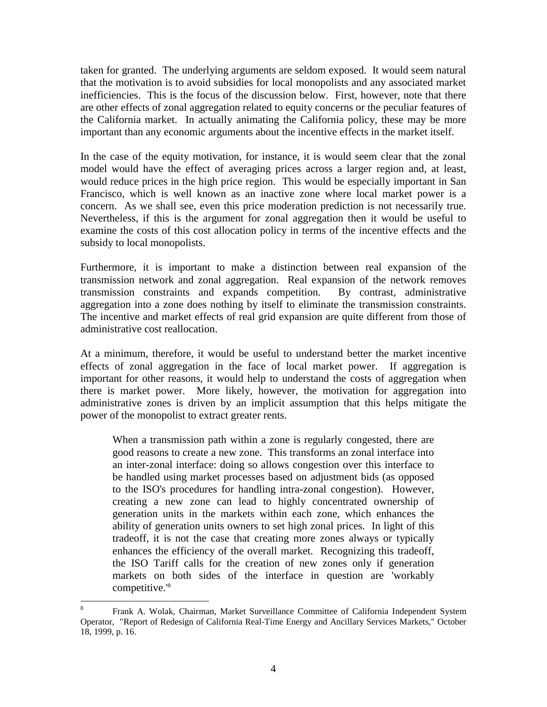taken for granted. The underlying arguments are seldom exposed. It would seem natural that the motivation is to avoid subsidies for local monopolists and any associated market inefficiencies. This is the focus of the discussion below. First, however, note that there are other effects of zonal aggregation related to equity concerns or the peculiar features of the California market. In actually animating the California policy, these may be more important than any economic arguments about the incentive effects in the market itself.

In the case of the equity motivation, for instance, it is would seem clear that the zonal model would have the effect of averaging prices across a larger region and, at least, would reduce prices in the high price region. This would be especially important in San Francisco, which is well known as an inactive zone where local market power is a concern. As we shall see, even this price moderation prediction is not necessarily true. Nevertheless, if this is the argument for zonal aggregation then it would be useful to examine the costs of this cost allocation policy in terms of the incentive effects and the subsidy to local monopolists.

Furthermore, it is important to make a distinction between real expansion of the transmission network and zonal aggregation. Real expansion of the network removes transmission constraints and expands competition. By contrast, administrative aggregation into a zone does nothing by itself to eliminate the transmission constraints. The incentive and market effects of real grid expansion are quite different from those of administrative cost reallocation.

At a minimum, therefore, it would be useful to understand better the market incentive effects of zonal aggregation in the face of local market power. If aggregation is important for other reasons, it would help to understand the costs of aggregation when there is market power. More likely, however, the motivation for aggregation into administrative zones is driven by an implicit assumption that this helps mitigate the power of the monopolist to extract greater rents.

When a transmission path within a zone is regularly congested, there are good reasons to create a new zone. This transforms an zonal interface into an inter-zonal interface: doing so allows congestion over this interface to be handled using market processes based on adjustment bids (as opposed to the ISO's procedures for handling intra-zonal congestion). However, creating a new zone can lead to highly concentrated ownership of generation units in the markets within each zone, which enhances the ability of generation units owners to set high zonal prices. In light of this tradeoff, it is not the case that creating more zones always or typically enhances the efficiency of the overall market. Recognizing this tradeoff, the ISO Tariff calls for the creation of new zones only if generation markets on both sides of the interface in question are 'workably competitive.'8

 $\overline{a}$ 

<sup>8</sup> Frank A. Wolak, Chairman, Market Surveillance Committee of California Independent System Operator, "Report of Redesign of California Real-Time Energy and Ancillary Services Markets," October 18, 1999, p. 16.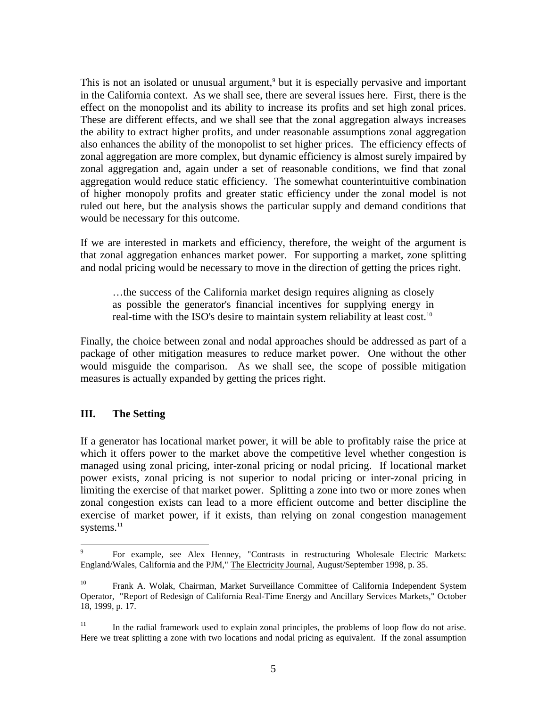This is not an isolated or unusual argument,<sup>9</sup> but it is especially pervasive and important in the California context. As we shall see, there are several issues here. First, there is the effect on the monopolist and its ability to increase its profits and set high zonal prices. These are different effects, and we shall see that the zonal aggregation always increases the ability to extract higher profits, and under reasonable assumptions zonal aggregation also enhances the ability of the monopolist to set higher prices. The efficiency effects of zonal aggregation are more complex, but dynamic efficiency is almost surely impaired by zonal aggregation and, again under a set of reasonable conditions, we find that zonal aggregation would reduce static efficiency. The somewhat counterintuitive combination of higher monopoly profits and greater static efficiency under the zonal model is not ruled out here, but the analysis shows the particular supply and demand conditions that would be necessary for this outcome.

If we are interested in markets and efficiency, therefore, the weight of the argument is that zonal aggregation enhances market power. For supporting a market, zone splitting and nodal pricing would be necessary to move in the direction of getting the prices right.

…the success of the California market design requires aligning as closely as possible the generator's financial incentives for supplying energy in real-time with the ISO's desire to maintain system reliability at least cost.<sup>10</sup>

Finally, the choice between zonal and nodal approaches should be addressed as part of a package of other mitigation measures to reduce market power. One without the other would misguide the comparison. As we shall see, the scope of possible mitigation measures is actually expanded by getting the prices right.

## **III. The Setting**

If a generator has locational market power, it will be able to profitably raise the price at which it offers power to the market above the competitive level whether congestion is managed using zonal pricing, inter-zonal pricing or nodal pricing. If locational market power exists, zonal pricing is not superior to nodal pricing or inter-zonal pricing in limiting the exercise of that market power. Splitting a zone into two or more zones when zonal congestion exists can lead to a more efficient outcome and better discipline the exercise of market power, if it exists, than relying on zonal congestion management systems.<sup>11</sup>

<sup>-&</sup>lt;br>9 For example, see Alex Henney, "Contrasts in restructuring Wholesale Electric Markets: England/Wales, California and the PJM," The Electricity Journal, August/September 1998, p. 35.

<sup>&</sup>lt;sup>10</sup> Frank A. Wolak, Chairman, Market Surveillance Committee of California Independent System Operator, "Report of Redesign of California Real-Time Energy and Ancillary Services Markets," October 18, 1999, p. 17.

 $11$  In the radial framework used to explain zonal principles, the problems of loop flow do not arise. Here we treat splitting a zone with two locations and nodal pricing as equivalent. If the zonal assumption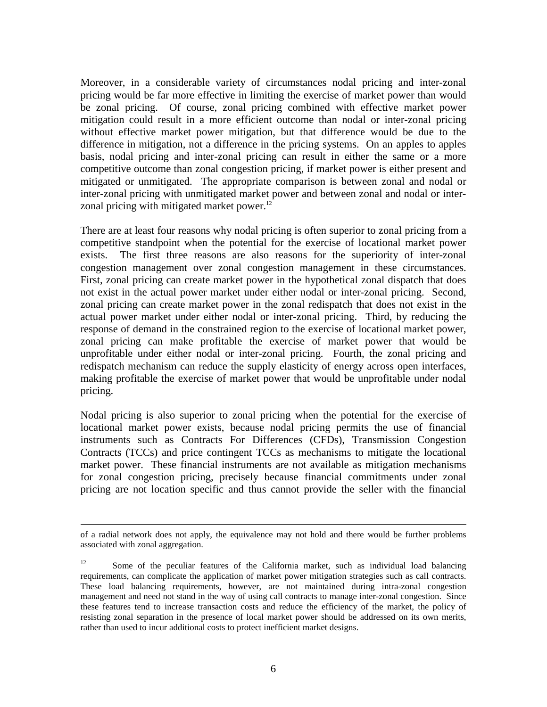Moreover, in a considerable variety of circumstances nodal pricing and inter-zonal pricing would be far more effective in limiting the exercise of market power than would be zonal pricing. Of course, zonal pricing combined with effective market power mitigation could result in a more efficient outcome than nodal or inter-zonal pricing without effective market power mitigation, but that difference would be due to the difference in mitigation, not a difference in the pricing systems. On an apples to apples basis, nodal pricing and inter-zonal pricing can result in either the same or a more competitive outcome than zonal congestion pricing, if market power is either present and mitigated or unmitigated. The appropriate comparison is between zonal and nodal or inter-zonal pricing with unmitigated market power and between zonal and nodal or interzonal pricing with mitigated market power.<sup>12</sup>

There are at least four reasons why nodal pricing is often superior to zonal pricing from a competitive standpoint when the potential for the exercise of locational market power exists. The first three reasons are also reasons for the superiority of inter-zonal congestion management over zonal congestion management in these circumstances. First, zonal pricing can create market power in the hypothetical zonal dispatch that does not exist in the actual power market under either nodal or inter-zonal pricing. Second, zonal pricing can create market power in the zonal redispatch that does not exist in the actual power market under either nodal or inter-zonal pricing. Third, by reducing the response of demand in the constrained region to the exercise of locational market power, zonal pricing can make profitable the exercise of market power that would be unprofitable under either nodal or inter-zonal pricing. Fourth, the zonal pricing and redispatch mechanism can reduce the supply elasticity of energy across open interfaces, making profitable the exercise of market power that would be unprofitable under nodal pricing.

Nodal pricing is also superior to zonal pricing when the potential for the exercise of locational market power exists, because nodal pricing permits the use of financial instruments such as Contracts For Differences (CFDs), Transmission Congestion Contracts (TCCs) and price contingent TCCs as mechanisms to mitigate the locational market power. These financial instruments are not available as mitigation mechanisms for zonal congestion pricing, precisely because financial commitments under zonal pricing are not location specific and thus cannot provide the seller with the financial

 $\overline{a}$ 

of a radial network does not apply, the equivalence may not hold and there would be further problems associated with zonal aggregation.

<sup>&</sup>lt;sup>12</sup> Some of the peculiar features of the California market, such as individual load balancing requirements, can complicate the application of market power mitigation strategies such as call contracts. These load balancing requirements, however, are not maintained during intra-zonal congestion management and need not stand in the way of using call contracts to manage inter-zonal congestion. Since these features tend to increase transaction costs and reduce the efficiency of the market, the policy of resisting zonal separation in the presence of local market power should be addressed on its own merits, rather than used to incur additional costs to protect inefficient market designs.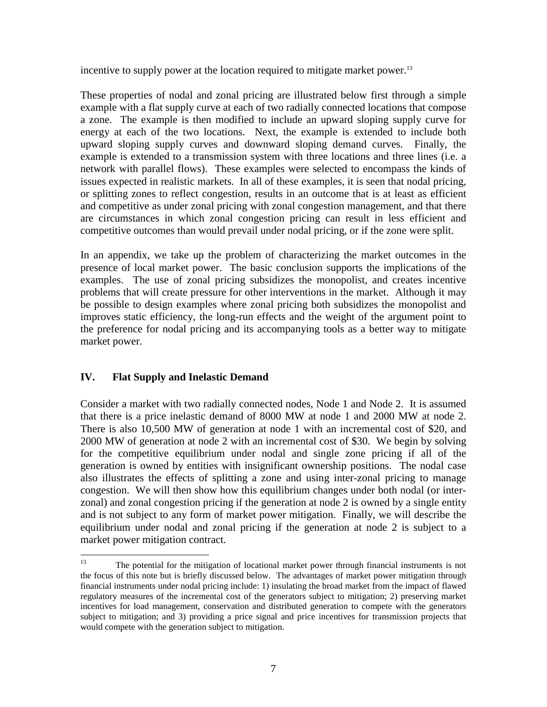incentive to supply power at the location required to mitigate market power.<sup>13</sup>

These properties of nodal and zonal pricing are illustrated below first through a simple example with a flat supply curve at each of two radially connected locations that compose a zone. The example is then modified to include an upward sloping supply curve for energy at each of the two locations. Next, the example is extended to include both upward sloping supply curves and downward sloping demand curves. Finally, the example is extended to a transmission system with three locations and three lines (i.e. a network with parallel flows). These examples were selected to encompass the kinds of issues expected in realistic markets. In all of these examples, it is seen that nodal pricing, or splitting zones to reflect congestion, results in an outcome that is at least as efficient and competitive as under zonal pricing with zonal congestion management, and that there are circumstances in which zonal congestion pricing can result in less efficient and competitive outcomes than would prevail under nodal pricing, or if the zone were split.

In an appendix, we take up the problem of characterizing the market outcomes in the presence of local market power. The basic conclusion supports the implications of the examples. The use of zonal pricing subsidizes the monopolist, and creates incentive problems that will create pressure for other interventions in the market. Although it may be possible to design examples where zonal pricing both subsidizes the monopolist and improves static efficiency, the long-run effects and the weight of the argument point to the preference for nodal pricing and its accompanying tools as a better way to mitigate market power.

## **IV. Flat Supply and Inelastic Demand**

Consider a market with two radially connected nodes, Node 1 and Node 2. It is assumed that there is a price inelastic demand of 8000 MW at node 1 and 2000 MW at node 2. There is also 10,500 MW of generation at node 1 with an incremental cost of \$20, and 2000 MW of generation at node 2 with an incremental cost of \$30. We begin by solving for the competitive equilibrium under nodal and single zone pricing if all of the generation is owned by entities with insignificant ownership positions. The nodal case also illustrates the effects of splitting a zone and using inter-zonal pricing to manage congestion. We will then show how this equilibrium changes under both nodal (or interzonal) and zonal congestion pricing if the generation at node 2 is owned by a single entity and is not subject to any form of market power mitigation. Finally, we will describe the equilibrium under nodal and zonal pricing if the generation at node 2 is subject to a market power mitigation contract.

<sup>13</sup> 13 The potential for the mitigation of locational market power through financial instruments is not the focus of this note but is briefly discussed below. The advantages of market power mitigation through financial instruments under nodal pricing include: 1) insulating the broad market from the impact of flawed regulatory measures of the incremental cost of the generators subject to mitigation; 2) preserving market incentives for load management, conservation and distributed generation to compete with the generators subject to mitigation; and 3) providing a price signal and price incentives for transmission projects that would compete with the generation subject to mitigation.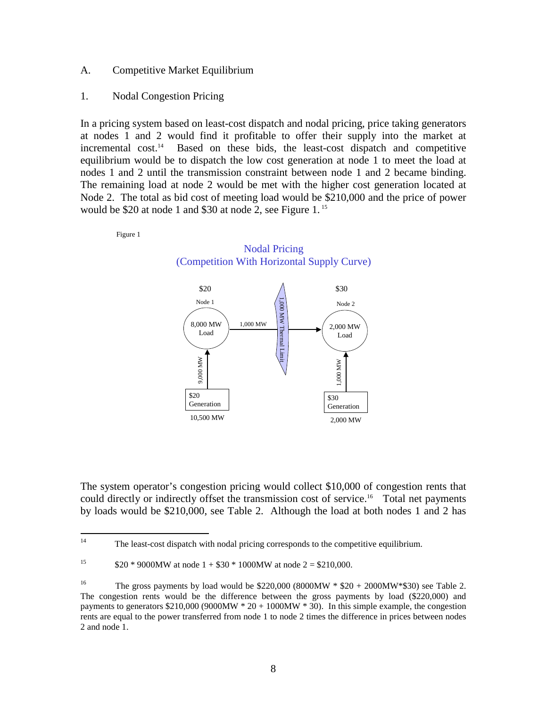#### A. Competitive Market Equilibrium

#### 1. Nodal Congestion Pricing

In a pricing system based on least-cost dispatch and nodal pricing, price taking generators at nodes 1 and 2 would find it profitable to offer their supply into the market at incremental cost.<sup>14</sup> Based on these bids, the least-cost dispatch and competitive equilibrium would be to dispatch the low cost generation at node 1 to meet the load at nodes 1 and 2 until the transmission constraint between node 1 and 2 became binding. The remaining load at node 2 would be met with the higher cost generation located at Node 2. The total as bid cost of meeting load would be \$210,000 and the price of power would be \$20 at node 1 and \$30 at node 2, see Figure 1. 15

Nodal Pricing

Figure 1



The system operator's congestion pricing would collect \$10,000 of congestion rents that could directly or indirectly offset the transmission cost of service.<sup>16</sup> Total net payments by loads would be \$210,000, see Table 2. Although the load at both nodes 1 and 2 has

 $14$ The least-cost dispatch with nodal pricing corresponds to the competitive equilibrium.

<sup>&</sup>lt;sup>15</sup>  $$20 * 9000\text{MW}$  at node  $1 + $30 * 1000\text{MW}$  at node  $2 = $210,000$ .

<sup>&</sup>lt;sup>16</sup> The gross payments by load would be \$220,000 (8000MW  $*$  \$20 + 2000MW $*$ \$30) see Table 2. The congestion rents would be the difference between the gross payments by load (\$220,000) and payments to generators  $$210,000 (9000MW * 20 + 1000MW * 30)$ . In this simple example, the congestion rents are equal to the power transferred from node 1 to node 2 times the difference in prices between nodes 2 and node 1.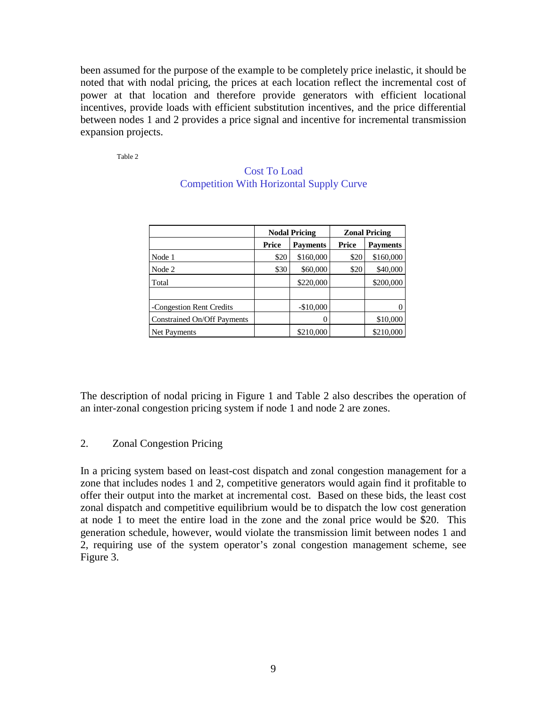been assumed for the purpose of the example to be completely price inelastic, it should be noted that with nodal pricing, the prices at each location reflect the incremental cost of power at that location and therefore provide generators with efficient locational incentives, provide loads with efficient substitution incentives, and the price differential between nodes 1 and 2 provides a price signal and incentive for incremental transmission expansion projects.

Table 2

|                             |       | <b>Nodal Pricing</b> | <b>Zonal Pricing</b> |                 |
|-----------------------------|-------|----------------------|----------------------|-----------------|
|                             | Price | <b>Payments</b>      | Price                | <b>Payments</b> |
| Node 1                      | \$20  | \$160,000            | \$20                 | \$160,000       |
| Node 2                      | \$30  | \$60,000             | \$20                 | \$40,000        |
| Total                       |       | \$220,000            |                      | \$200,000       |
|                             |       |                      |                      |                 |
| -Congestion Rent Credits    |       | $-$10,000$           |                      |                 |
| Constrained On/Off Payments |       |                      |                      | \$10,000        |
| Net Payments                |       | \$210,000            |                      | \$210,000       |

#### Cost To Load Competition With Horizontal Supply Curve

The description of nodal pricing in Figure 1 and Table 2 also describes the operation of an inter-zonal congestion pricing system if node 1 and node 2 are zones.

## 2. Zonal Congestion Pricing

In a pricing system based on least-cost dispatch and zonal congestion management for a zone that includes nodes 1 and 2, competitive generators would again find it profitable to offer their output into the market at incremental cost. Based on these bids, the least cost zonal dispatch and competitive equilibrium would be to dispatch the low cost generation at node 1 to meet the entire load in the zone and the zonal price would be \$20. This generation schedule, however, would violate the transmission limit between nodes 1 and 2, requiring use of the system operator's zonal congestion management scheme, see Figure 3.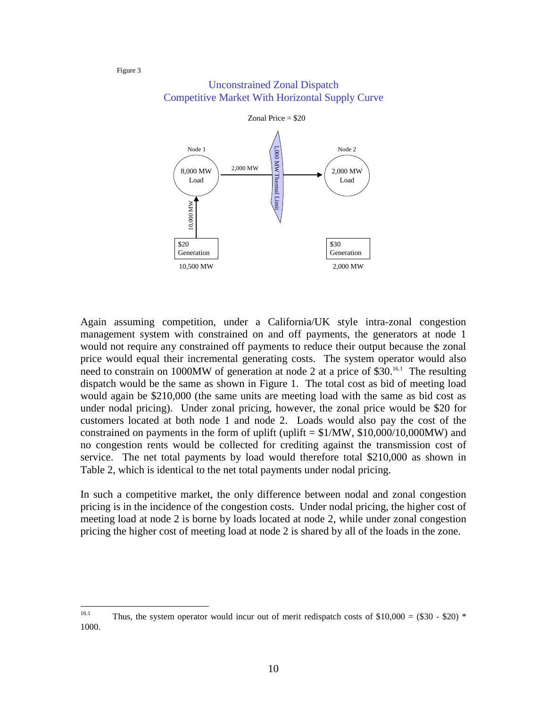

#### Unconstrained Zonal Dispatch Competitive Market With Horizontal Supply Curve

Again assuming competition, under a California/UK style intra-zonal congestion management system with constrained on and off payments, the generators at node 1 would not require any constrained off payments to reduce their output because the zonal price would equal their incremental generating costs. The system operator would also need to constrain on 1000MW of generation at node 2 at a price of \$30.<sup>16.1</sup> The resulting dispatch would be the same as shown in Figure 1. The total cost as bid of meeting load would again be \$210,000 (the same units are meeting load with the same as bid cost as under nodal pricing). Under zonal pricing, however, the zonal price would be \$20 for customers located at both node 1 and node 2. Loads would also pay the cost of the constrained on payments in the form of uplift (uplift  $= $1/MW$ , \$10,000/10,000MW) and no congestion rents would be collected for crediting against the transmission cost of service. The net total payments by load would therefore total \$210,000 as shown in Table 2, which is identical to the net total payments under nodal pricing.

In such a competitive market, the only difference between nodal and zonal congestion pricing is in the incidence of the congestion costs. Under nodal pricing, the higher cost of meeting load at node 2 is borne by loads located at node 2, while under zonal congestion pricing the higher cost of meeting load at node 2 is shared by all of the loads in the zone.

 $16.1$ Thus, the system operator would incur out of merit redispatch costs of  $$10,000 = ($30 - $20)$  \* 1000.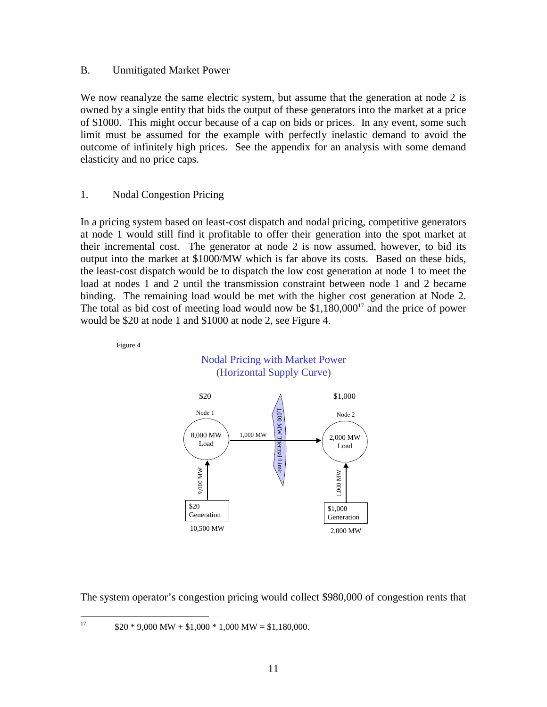#### B. Unmitigated Market Power

We now reanalyze the same electric system, but assume that the generation at node 2 is owned by a single entity that bids the output of these generators into the market at a price of \$1000. This might occur because of a cap on bids or prices. In any event, some such limit must be assumed for the example with perfectly inelastic demand to avoid the outcome of infinitely high prices. See the appendix for an analysis with some demand elasticity and no price caps.

#### 1. Nodal Congestion Pricing

In a pricing system based on least-cost dispatch and nodal pricing, competitive generators at node 1 would still find it profitable to offer their generation into the spot market at their incremental cost. The generator at node 2 is now assumed, however, to bid its output into the market at \$1000/MW which is far above its costs. Based on these bids, the least-cost dispatch would be to dispatch the low cost generation at node 1 to meet the load at nodes 1 and 2 until the transmission constraint between node 1 and 2 became binding. The remaining load would be met with the higher cost generation at Node 2. The total as bid cost of meeting load would now be  $$1,180,000<sup>17</sup>$  and the price of power would be \$20 at node 1 and \$1000 at node 2, see Figure 4.



The system operator's congestion pricing would collect \$980,000 of congestion rents that

 $17\,$  $$20 * 9,000 \text{ MW} + $1,000 * 1,000 \text{ MW} = $1,180,000.$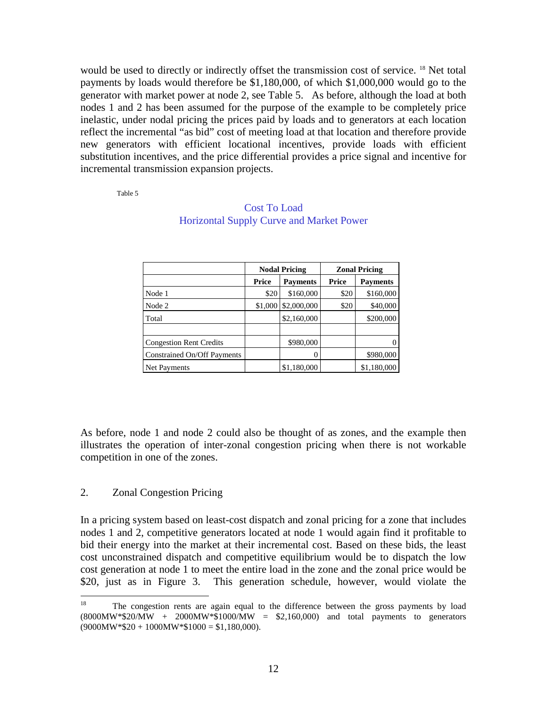would be used to directly or indirectly offset the transmission cost of service. <sup>18</sup> Net total payments by loads would therefore be \$1,180,000, of which \$1,000,000 would go to the generator with market power at node 2, see Table 5. As before, although the load at both nodes 1 and 2 has been assumed for the purpose of the example to be completely price inelastic, under nodal pricing the prices paid by loads and to generators at each location reflect the incremental "as bid" cost of meeting load at that location and therefore provide new generators with efficient locational incentives, provide loads with efficient substitution incentives, and the price differential provides a price signal and incentive for incremental transmission expansion projects.

Table 5

|                                |         | <b>Nodal Pricing</b> | <b>Zonal Pricing</b> |                 |
|--------------------------------|---------|----------------------|----------------------|-----------------|
|                                | Price   | <b>Payments</b>      | Price                | <b>Payments</b> |
| Node 1                         | \$20    | \$160,000            | \$20                 | \$160,000       |
| Node 2                         | \$1,000 | \$2,000,000          | \$20                 | \$40,000        |
| Total                          |         | \$2,160,000          |                      | \$200,000       |
|                                |         |                      |                      |                 |
| <b>Congestion Rent Credits</b> |         | \$980,000            |                      |                 |
| Constrained On/Off Payments    |         |                      |                      | \$980,000       |
| Net Payments                   |         | \$1,180,000          |                      | \$1,180,000     |

## Cost To Load Horizontal Supply Curve and Market Power

As before, node 1 and node 2 could also be thought of as zones, and the example then illustrates the operation of inter-zonal congestion pricing when there is not workable competition in one of the zones.

#### 2. Zonal Congestion Pricing

In a pricing system based on least-cost dispatch and zonal pricing for a zone that includes nodes 1 and 2, competitive generators located at node 1 would again find it profitable to bid their energy into the market at their incremental cost. Based on these bids, the least cost unconstrained dispatch and competitive equilibrium would be to dispatch the low cost generation at node 1 to meet the entire load in the zone and the zonal price would be \$20, just as in Figure 3. This generation schedule, however, would violate the

<sup>18</sup> The congestion rents are again equal to the difference between the gross payments by load  $(8000\text{MW} * $20\text{/MW} + 2000\text{MW} * $1000\text{/MW} = $2,160,000)$  and total payments to generators  $(9000MW * $20 + 1000MW * $1000 = $1,180,000).$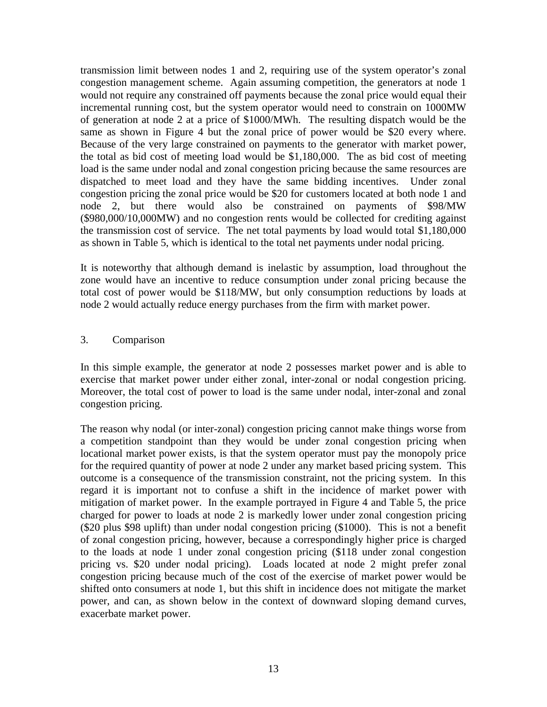transmission limit between nodes 1 and 2, requiring use of the system operator's zonal congestion management scheme. Again assuming competition, the generators at node 1 would not require any constrained off payments because the zonal price would equal their incremental running cost, but the system operator would need to constrain on 1000MW of generation at node 2 at a price of \$1000/MWh. The resulting dispatch would be the same as shown in Figure 4 but the zonal price of power would be \$20 every where. Because of the very large constrained on payments to the generator with market power, the total as bid cost of meeting load would be \$1,180,000. The as bid cost of meeting load is the same under nodal and zonal congestion pricing because the same resources are dispatched to meet load and they have the same bidding incentives. Under zonal congestion pricing the zonal price would be \$20 for customers located at both node 1 and node 2, but there would also be constrained on payments of \$98/MW (\$980,000/10,000MW) and no congestion rents would be collected for crediting against the transmission cost of service. The net total payments by load would total \$1,180,000 as shown in Table 5, which is identical to the total net payments under nodal pricing.

It is noteworthy that although demand is inelastic by assumption, load throughout the zone would have an incentive to reduce consumption under zonal pricing because the total cost of power would be \$118/MW, but only consumption reductions by loads at node 2 would actually reduce energy purchases from the firm with market power.

#### 3. Comparison

In this simple example, the generator at node 2 possesses market power and is able to exercise that market power under either zonal, inter-zonal or nodal congestion pricing. Moreover, the total cost of power to load is the same under nodal, inter-zonal and zonal congestion pricing.

The reason why nodal (or inter-zonal) congestion pricing cannot make things worse from a competition standpoint than they would be under zonal congestion pricing when locational market power exists, is that the system operator must pay the monopoly price for the required quantity of power at node 2 under any market based pricing system. This outcome is a consequence of the transmission constraint, not the pricing system. In this regard it is important not to confuse a shift in the incidence of market power with mitigation of market power. In the example portrayed in Figure 4 and Table 5, the price charged for power to loads at node 2 is markedly lower under zonal congestion pricing (\$20 plus \$98 uplift) than under nodal congestion pricing (\$1000). This is not a benefit of zonal congestion pricing, however, because a correspondingly higher price is charged to the loads at node 1 under zonal congestion pricing (\$118 under zonal congestion pricing vs. \$20 under nodal pricing). Loads located at node 2 might prefer zonal congestion pricing because much of the cost of the exercise of market power would be shifted onto consumers at node 1, but this shift in incidence does not mitigate the market power, and can, as shown below in the context of downward sloping demand curves, exacerbate market power.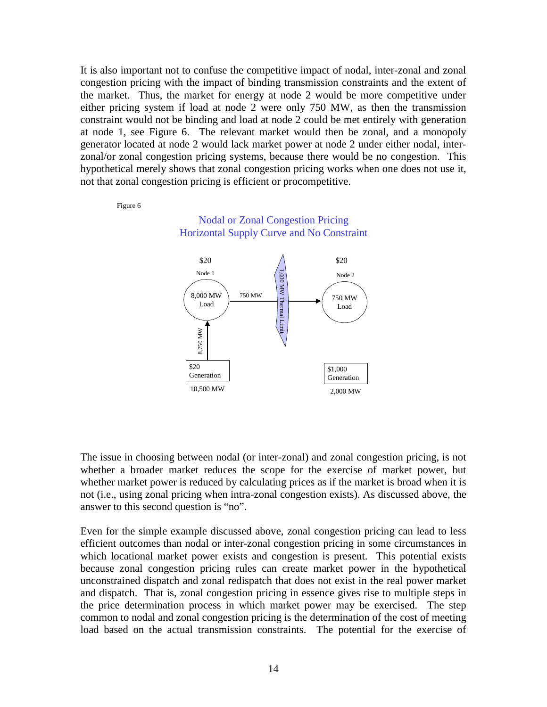It is also important not to confuse the competitive impact of nodal, inter-zonal and zonal congestion pricing with the impact of binding transmission constraints and the extent of the market. Thus, the market for energy at node 2 would be more competitive under either pricing system if load at node 2 were only 750 MW, as then the transmission constraint would not be binding and load at node 2 could be met entirely with generation at node 1, see Figure 6. The relevant market would then be zonal, and a monopoly generator located at node 2 would lack market power at node 2 under either nodal, interzonal/or zonal congestion pricing systems, because there would be no congestion. This hypothetical merely shows that zonal congestion pricing works when one does not use it, not that zonal congestion pricing is efficient or procompetitive.

Figure 6





The issue in choosing between nodal (or inter-zonal) and zonal congestion pricing, is not whether a broader market reduces the scope for the exercise of market power, but whether market power is reduced by calculating prices as if the market is broad when it is not (i.e., using zonal pricing when intra-zonal congestion exists). As discussed above, the answer to this second question is "no".

Even for the simple example discussed above, zonal congestion pricing can lead to less efficient outcomes than nodal or inter-zonal congestion pricing in some circumstances in which locational market power exists and congestion is present. This potential exists because zonal congestion pricing rules can create market power in the hypothetical unconstrained dispatch and zonal redispatch that does not exist in the real power market and dispatch. That is, zonal congestion pricing in essence gives rise to multiple steps in the price determination process in which market power may be exercised. The step common to nodal and zonal congestion pricing is the determination of the cost of meeting load based on the actual transmission constraints. The potential for the exercise of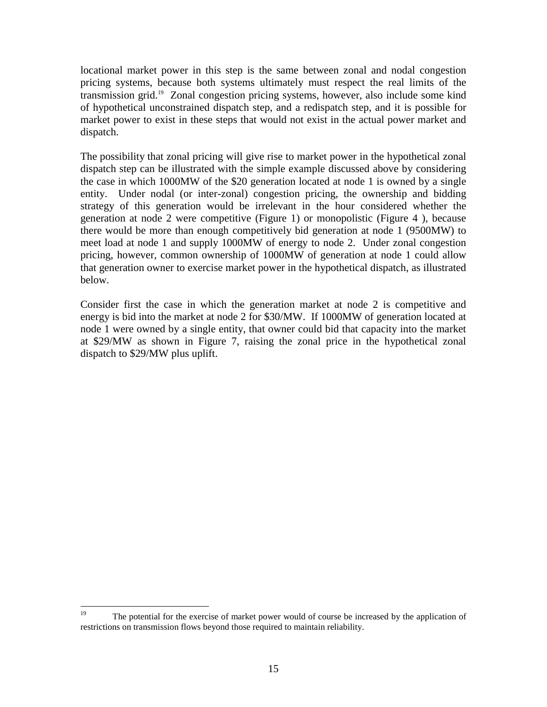locational market power in this step is the same between zonal and nodal congestion pricing systems, because both systems ultimately must respect the real limits of the transmission grid.19 Zonal congestion pricing systems, however, also include some kind of hypothetical unconstrained dispatch step, and a redispatch step, and it is possible for market power to exist in these steps that would not exist in the actual power market and dispatch.

The possibility that zonal pricing will give rise to market power in the hypothetical zonal dispatch step can be illustrated with the simple example discussed above by considering the case in which 1000MW of the \$20 generation located at node 1 is owned by a single entity. Under nodal (or inter-zonal) congestion pricing, the ownership and bidding strategy of this generation would be irrelevant in the hour considered whether the generation at node 2 were competitive (Figure 1) or monopolistic (Figure 4 ), because there would be more than enough competitively bid generation at node 1 (9500MW) to meet load at node 1 and supply 1000MW of energy to node 2. Under zonal congestion pricing, however, common ownership of 1000MW of generation at node 1 could allow that generation owner to exercise market power in the hypothetical dispatch, as illustrated below.

Consider first the case in which the generation market at node 2 is competitive and energy is bid into the market at node 2 for \$30/MW. If 1000MW of generation located at node 1 were owned by a single entity, that owner could bid that capacity into the market at \$29/MW as shown in Figure 7, raising the zonal price in the hypothetical zonal dispatch to \$29/MW plus uplift.

<sup>19</sup> The potential for the exercise of market power would of course be increased by the application of restrictions on transmission flows beyond those required to maintain reliability.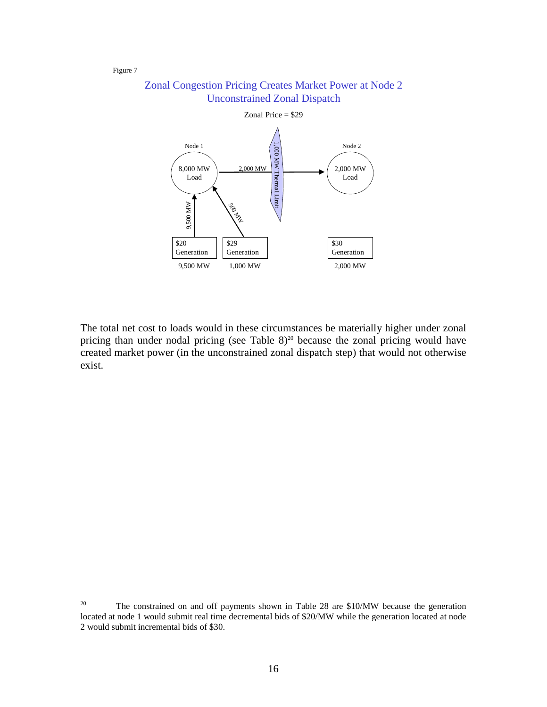Figure 7





The total net cost to loads would in these circumstances be materially higher under zonal pricing than under nodal pricing (see Table  $8)^{20}$  because the zonal pricing would have created market power (in the unconstrained zonal dispatch step) that would not otherwise exist.

 $20\,$ 20 The constrained on and off payments shown in Table 28 are \$10/MW because the generation located at node 1 would submit real time decremental bids of \$20/MW while the generation located at node 2 would submit incremental bids of \$30.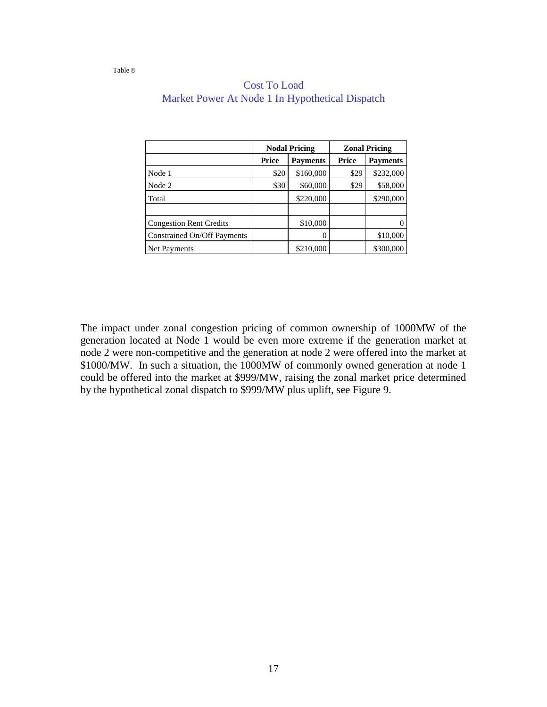|                                |       | <b>Nodal Pricing</b> | <b>Zonal Pricing</b> |                 |
|--------------------------------|-------|----------------------|----------------------|-----------------|
|                                | Price | <b>Payments</b>      | Price                | <b>Payments</b> |
| Node 1                         | \$20  | \$160,000            | \$29                 | \$232,000       |
| Node 2                         | \$30  | \$60,000             | \$29                 | \$58,000        |
| Total                          |       | \$220,000            |                      | \$290,000       |
|                                |       |                      |                      |                 |
| <b>Congestion Rent Credits</b> |       | \$10,000             |                      |                 |
| Constrained On/Off Payments    |       |                      |                      | \$10,000        |
| Net Payments                   |       | \$210,000            |                      | \$300,000       |

## Cost To Load Market Power At Node 1 In Hypothetical Dispatch

Table 8

The impact under zonal congestion pricing of common ownership of 1000MW of the generation located at Node 1 would be even more extreme if the generation market at node 2 were non-competitive and the generation at node 2 were offered into the market at \$1000/MW. In such a situation, the 1000MW of commonly owned generation at node 1 could be offered into the market at \$999/MW, raising the zonal market price determined by the hypothetical zonal dispatch to \$999/MW plus uplift, see Figure 9.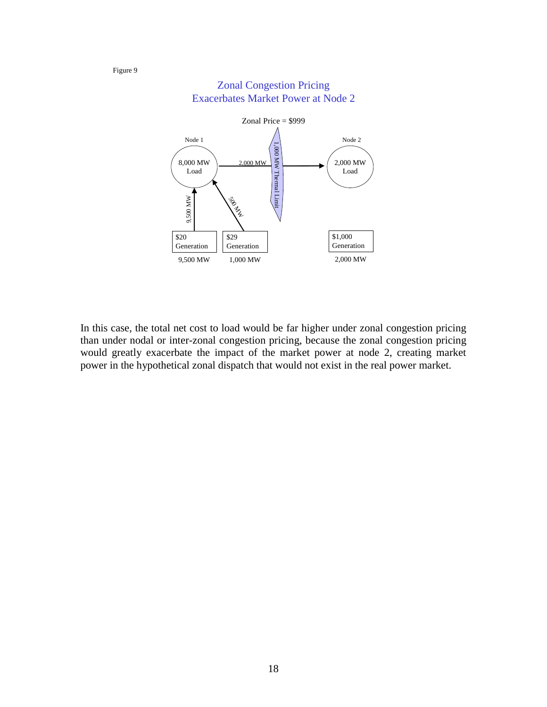

## Zonal Congestion Pricing Exacerbates Market Power at Node 2

Figure 9

In this case, the total net cost to load would be far higher under zonal congestion pricing than under nodal or inter-zonal congestion pricing, because the zonal congestion pricing would greatly exacerbate the impact of the market power at node 2, creating market power in the hypothetical zonal dispatch that would not exist in the real power market.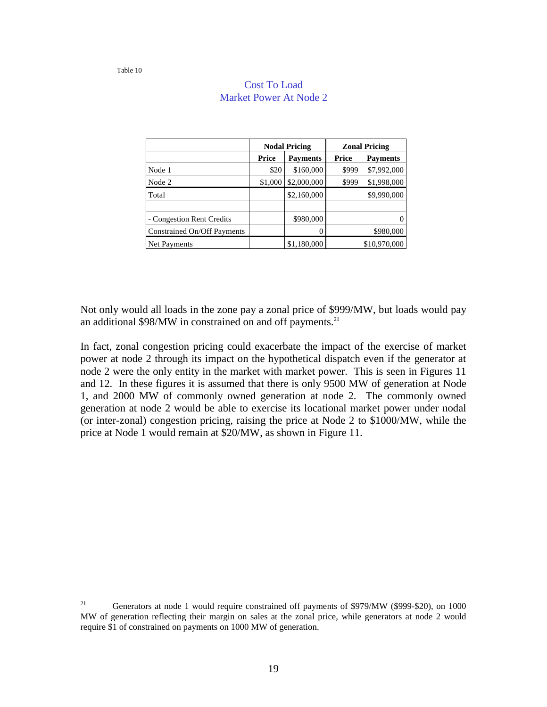|                             |         | <b>Nodal Pricing</b> | <b>Zonal Pricing</b> |                 |
|-----------------------------|---------|----------------------|----------------------|-----------------|
|                             | Price   | <b>Payments</b>      | Price                | <b>Payments</b> |
| Node 1                      | \$20    | \$160,000            | \$999                | \$7,992,000     |
| Node 2                      | \$1,000 | \$2,000,000          | \$999                | \$1,998,000     |
| Total                       |         | \$2,160,000          |                      | \$9,990,000     |
|                             |         |                      |                      |                 |
| - Congestion Rent Credits   |         | \$980,000            |                      |                 |
| Constrained On/Off Payments |         |                      |                      | \$980,000       |
| Net Payments                |         | \$1,180,000          |                      | \$10,970,000    |

## Cost To Load Market Power At Node 2

Not only would all loads in the zone pay a zonal price of \$999/MW, but loads would pay an additional  $$98/MW$  in constrained on and off payments.<sup>21</sup>

In fact, zonal congestion pricing could exacerbate the impact of the exercise of market power at node 2 through its impact on the hypothetical dispatch even if the generator at node 2 were the only entity in the market with market power. This is seen in Figures 11 and 12. In these figures it is assumed that there is only 9500 MW of generation at Node 1, and 2000 MW of commonly owned generation at node 2. The commonly owned generation at node 2 would be able to exercise its locational market power under nodal (or inter-zonal) congestion pricing, raising the price at Node 2 to \$1000/MW, while the price at Node 1 would remain at \$20/MW, as shown in Figure 11.

 $21$ Generators at node 1 would require constrained off payments of \$979/MW (\$999-\$20), on 1000 MW of generation reflecting their margin on sales at the zonal price, while generators at node 2 would require \$1 of constrained on payments on 1000 MW of generation.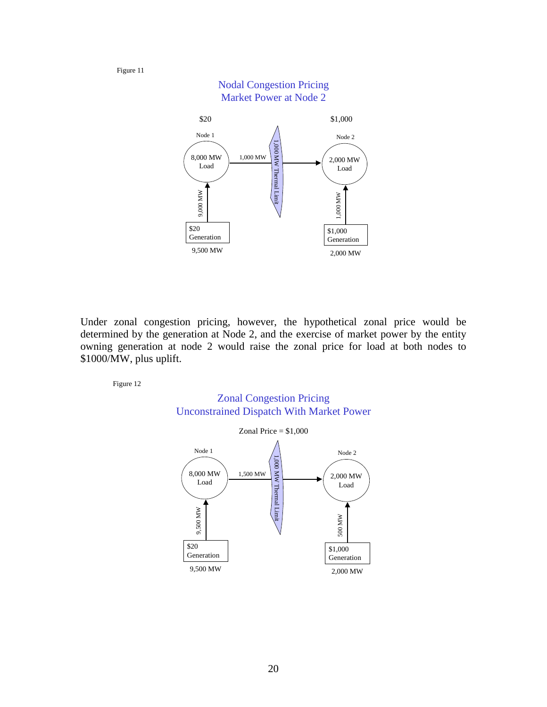Figure 11



Under zonal congestion pricing, however, the hypothetical zonal price would be determined by the generation at Node 2, and the exercise of market power by the entity owning generation at node 2 would raise the zonal price for load at both nodes to \$1000/MW, plus uplift.

Figure 12



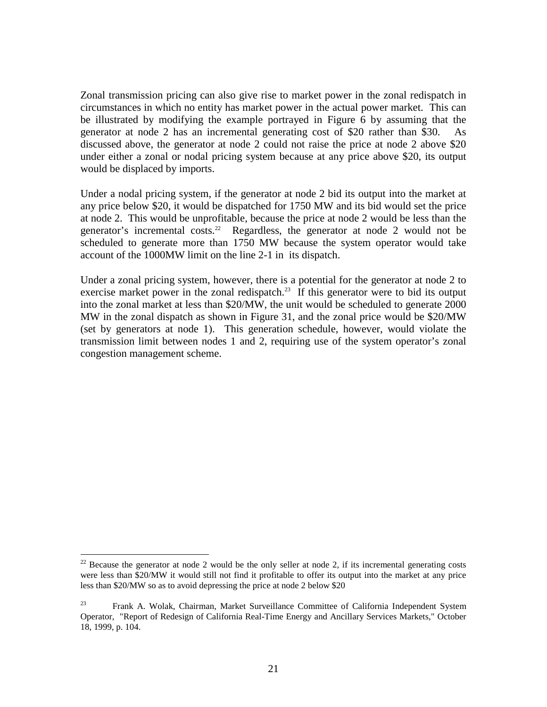Zonal transmission pricing can also give rise to market power in the zonal redispatch in circumstances in which no entity has market power in the actual power market. This can be illustrated by modifying the example portrayed in Figure 6 by assuming that the generator at node 2 has an incremental generating cost of \$20 rather than \$30. As discussed above, the generator at node 2 could not raise the price at node 2 above \$20 under either a zonal or nodal pricing system because at any price above \$20, its output would be displaced by imports.

Under a nodal pricing system, if the generator at node 2 bid its output into the market at any price below \$20, it would be dispatched for 1750 MW and its bid would set the price at node 2. This would be unprofitable, because the price at node 2 would be less than the generator's incremental costs.<sup>22</sup> Regardless, the generator at node 2 would not be scheduled to generate more than 1750 MW because the system operator would take account of the 1000MW limit on the line 2-1 in its dispatch.

Under a zonal pricing system, however, there is a potential for the generator at node 2 to exercise market power in the zonal redispatch.<sup>23</sup> If this generator were to bid its output into the zonal market at less than \$20/MW, the unit would be scheduled to generate 2000 MW in the zonal dispatch as shown in Figure 31, and the zonal price would be \$20/MW (set by generators at node 1). This generation schedule, however, would violate the transmission limit between nodes 1 and 2, requiring use of the system operator's zonal congestion management scheme.

 $\overline{a}$ 

 $22$  Because the generator at node 2 would be the only seller at node 2, if its incremental generating costs were less than \$20/MW it would still not find it profitable to offer its output into the market at any price less than \$20/MW so as to avoid depressing the price at node 2 below \$20

<sup>&</sup>lt;sup>23</sup> Frank A. Wolak, Chairman, Market Surveillance Committee of California Independent System Operator, "Report of Redesign of California Real-Time Energy and Ancillary Services Markets," October 18, 1999, p. 104.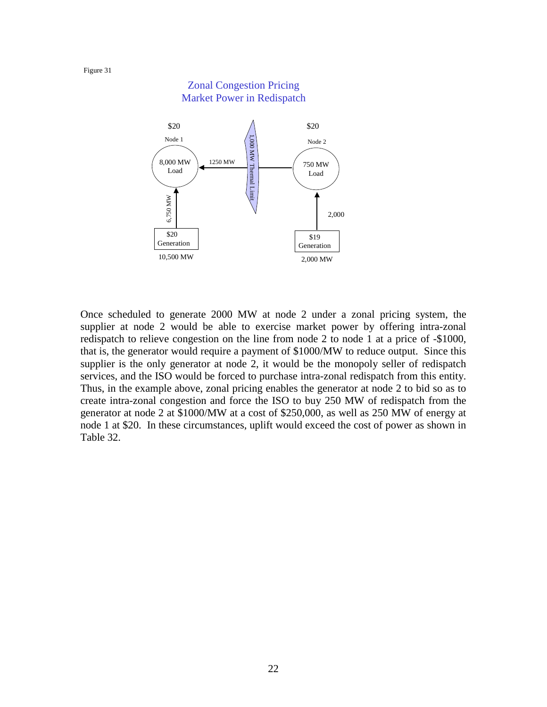

Once scheduled to generate 2000 MW at node 2 under a zonal pricing system, the supplier at node 2 would be able to exercise market power by offering intra-zonal redispatch to relieve congestion on the line from node 2 to node 1 at a price of -\$1000, that is, the generator would require a payment of \$1000/MW to reduce output. Since this supplier is the only generator at node 2, it would be the monopoly seller of redispatch services, and the ISO would be forced to purchase intra-zonal redispatch from this entity. Thus, in the example above, zonal pricing enables the generator at node 2 to bid so as to create intra-zonal congestion and force the ISO to buy 250 MW of redispatch from the generator at node 2 at \$1000/MW at a cost of \$250,000, as well as 250 MW of energy at node 1 at \$20. In these circumstances, uplift would exceed the cost of power as shown in Table 32.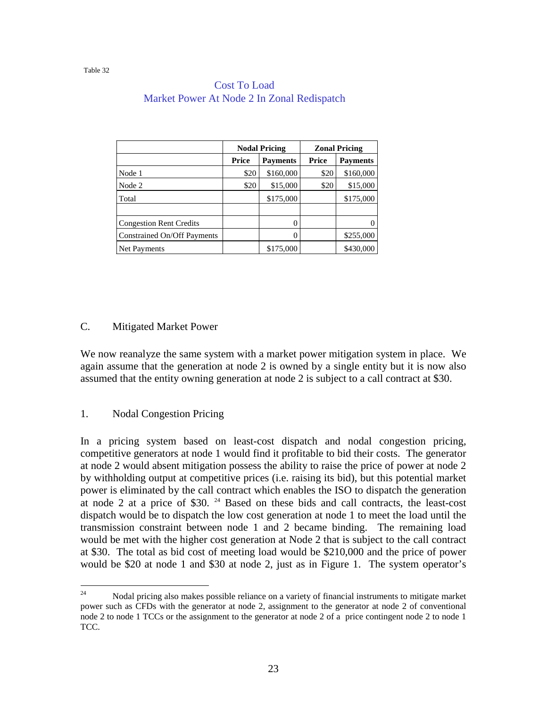|                                |       | <b>Nodal Pricing</b> | <b>Zonal Pricing</b> |                 |
|--------------------------------|-------|----------------------|----------------------|-----------------|
|                                | Price | <b>Payments</b>      | Price                | <b>Payments</b> |
| Node 1                         | \$20  | \$160,000            | \$20                 | \$160,000       |
| Node 2                         | \$20  | \$15,000             | \$20                 | \$15,000        |
| Total                          |       | \$175,000            |                      | \$175,000       |
|                                |       |                      |                      |                 |
| <b>Congestion Rent Credits</b> |       |                      |                      |                 |
| Constrained On/Off Payments    |       |                      |                      | \$255,000       |
| <b>Net Payments</b>            |       | \$175,000            |                      | \$430,000       |

#### Cost To Load Market Power At Node 2 In Zonal Redispatch

## C. Mitigated Market Power

We now reanalyze the same system with a market power mitigation system in place. We again assume that the generation at node 2 is owned by a single entity but it is now also assumed that the entity owning generation at node 2 is subject to a call contract at \$30.

## 1. Nodal Congestion Pricing

In a pricing system based on least-cost dispatch and nodal congestion pricing, competitive generators at node 1 would find it profitable to bid their costs. The generator at node 2 would absent mitigation possess the ability to raise the price of power at node 2 by withholding output at competitive prices (i.e. raising its bid), but this potential market power is eliminated by the call contract which enables the ISO to dispatch the generation at node 2 at a price of \$30.  $24$  Based on these bids and call contracts, the least-cost dispatch would be to dispatch the low cost generation at node 1 to meet the load until the transmission constraint between node 1 and 2 became binding. The remaining load would be met with the higher cost generation at Node 2 that is subject to the call contract at \$30. The total as bid cost of meeting load would be \$210,000 and the price of power would be \$20 at node 1 and \$30 at node 2, just as in Figure 1. The system operator's

<sup>24</sup> <sup>24</sup> Nodal pricing also makes possible reliance on a variety of financial instruments to mitigate market power such as CFDs with the generator at node 2, assignment to the generator at node 2 of conventional node 2 to node 1 TCCs or the assignment to the generator at node 2 of a price contingent node 2 to node 1 TCC.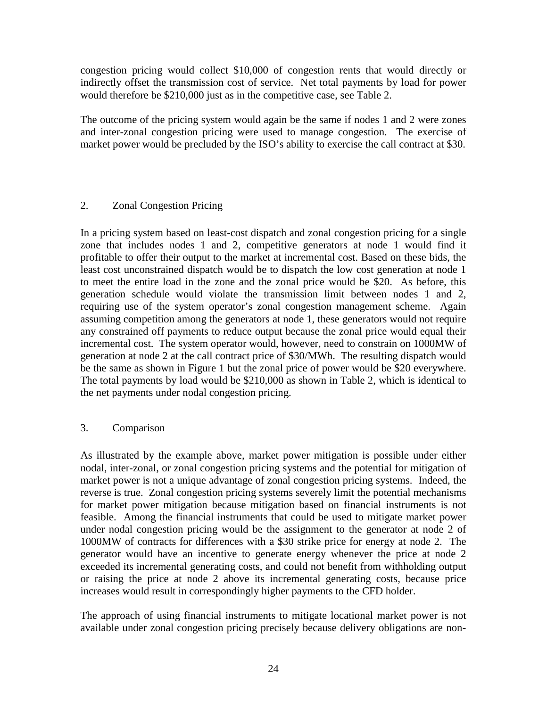congestion pricing would collect \$10,000 of congestion rents that would directly or indirectly offset the transmission cost of service. Net total payments by load for power would therefore be \$210,000 just as in the competitive case, see Table 2.

The outcome of the pricing system would again be the same if nodes 1 and 2 were zones and inter-zonal congestion pricing were used to manage congestion. The exercise of market power would be precluded by the ISO's ability to exercise the call contract at \$30.

## 2. Zonal Congestion Pricing

In a pricing system based on least-cost dispatch and zonal congestion pricing for a single zone that includes nodes 1 and 2, competitive generators at node 1 would find it profitable to offer their output to the market at incremental cost. Based on these bids, the least cost unconstrained dispatch would be to dispatch the low cost generation at node 1 to meet the entire load in the zone and the zonal price would be \$20. As before, this generation schedule would violate the transmission limit between nodes 1 and 2, requiring use of the system operator's zonal congestion management scheme. Again assuming competition among the generators at node 1, these generators would not require any constrained off payments to reduce output because the zonal price would equal their incremental cost. The system operator would, however, need to constrain on 1000MW of generation at node 2 at the call contract price of \$30/MWh. The resulting dispatch would be the same as shown in Figure 1 but the zonal price of power would be \$20 everywhere. The total payments by load would be \$210,000 as shown in Table 2, which is identical to the net payments under nodal congestion pricing.

## 3. Comparison

As illustrated by the example above, market power mitigation is possible under either nodal, inter-zonal, or zonal congestion pricing systems and the potential for mitigation of market power is not a unique advantage of zonal congestion pricing systems. Indeed, the reverse is true. Zonal congestion pricing systems severely limit the potential mechanisms for market power mitigation because mitigation based on financial instruments is not feasible. Among the financial instruments that could be used to mitigate market power under nodal congestion pricing would be the assignment to the generator at node 2 of 1000MW of contracts for differences with a \$30 strike price for energy at node 2. The generator would have an incentive to generate energy whenever the price at node 2 exceeded its incremental generating costs, and could not benefit from withholding output or raising the price at node 2 above its incremental generating costs, because price increases would result in correspondingly higher payments to the CFD holder.

The approach of using financial instruments to mitigate locational market power is not available under zonal congestion pricing precisely because delivery obligations are non-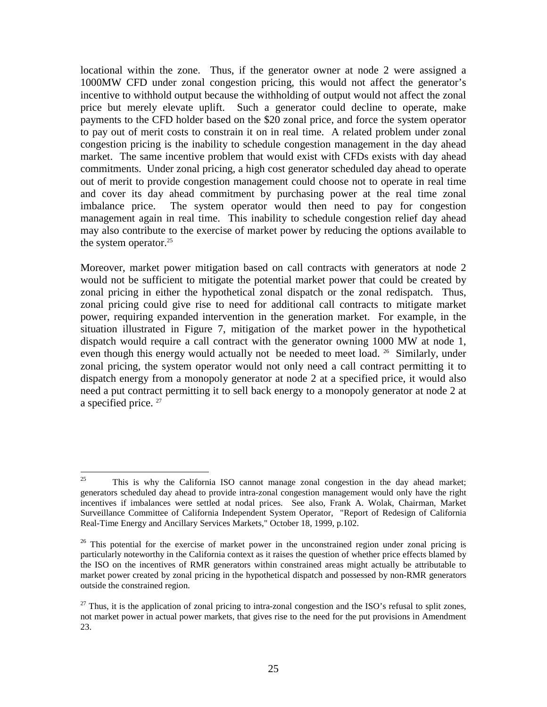locational within the zone. Thus, if the generator owner at node 2 were assigned a 1000MW CFD under zonal congestion pricing, this would not affect the generator's incentive to withhold output because the withholding of output would not affect the zonal price but merely elevate uplift. Such a generator could decline to operate, make payments to the CFD holder based on the \$20 zonal price, and force the system operator to pay out of merit costs to constrain it on in real time. A related problem under zonal congestion pricing is the inability to schedule congestion management in the day ahead market. The same incentive problem that would exist with CFDs exists with day ahead commitments. Under zonal pricing, a high cost generator scheduled day ahead to operate out of merit to provide congestion management could choose not to operate in real time and cover its day ahead commitment by purchasing power at the real time zonal imbalance price. The system operator would then need to pay for congestion management again in real time. This inability to schedule congestion relief day ahead may also contribute to the exercise of market power by reducing the options available to the system operator. $25$ 

Moreover, market power mitigation based on call contracts with generators at node 2 would not be sufficient to mitigate the potential market power that could be created by zonal pricing in either the hypothetical zonal dispatch or the zonal redispatch. Thus, zonal pricing could give rise to need for additional call contracts to mitigate market power, requiring expanded intervention in the generation market. For example, in the situation illustrated in Figure 7, mitigation of the market power in the hypothetical dispatch would require a call contract with the generator owning 1000 MW at node 1, even though this energy would actually not be needed to meet load. <sup>26</sup> Similarly, under zonal pricing, the system operator would not only need a call contract permitting it to dispatch energy from a monopoly generator at node 2 at a specified price, it would also need a put contract permitting it to sell back energy to a monopoly generator at node 2 at a specified price. <sup>27</sup>

<sup>25</sup> <sup>25</sup> This is why the California ISO cannot manage zonal congestion in the day ahead market; generators scheduled day ahead to provide intra-zonal congestion management would only have the right incentives if imbalances were settled at nodal prices. See also, Frank A. Wolak, Chairman, Market Surveillance Committee of California Independent System Operator, "Report of Redesign of California Real-Time Energy and Ancillary Services Markets," October 18, 1999, p.102.

 $26$  This potential for the exercise of market power in the unconstrained region under zonal pricing is particularly noteworthy in the California context as it raises the question of whether price effects blamed by the ISO on the incentives of RMR generators within constrained areas might actually be attributable to market power created by zonal pricing in the hypothetical dispatch and possessed by non-RMR generators outside the constrained region.

 $27$  Thus, it is the application of zonal pricing to intra-zonal congestion and the ISO's refusal to split zones, not market power in actual power markets, that gives rise to the need for the put provisions in Amendment 23.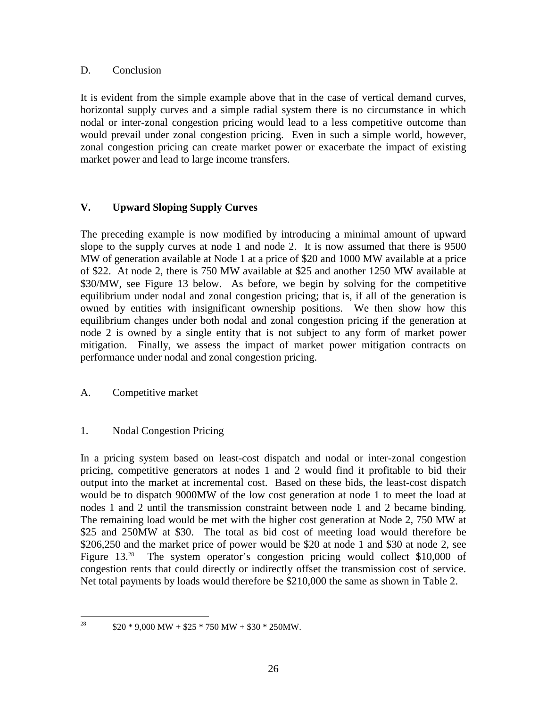#### D. Conclusion

It is evident from the simple example above that in the case of vertical demand curves, horizontal supply curves and a simple radial system there is no circumstance in which nodal or inter-zonal congestion pricing would lead to a less competitive outcome than would prevail under zonal congestion pricing. Even in such a simple world, however, zonal congestion pricing can create market power or exacerbate the impact of existing market power and lead to large income transfers.

## **V. Upward Sloping Supply Curves**

The preceding example is now modified by introducing a minimal amount of upward slope to the supply curves at node 1 and node 2. It is now assumed that there is 9500 MW of generation available at Node 1 at a price of \$20 and 1000 MW available at a price of \$22. At node 2, there is 750 MW available at \$25 and another 1250 MW available at \$30/MW, see Figure 13 below. As before, we begin by solving for the competitive equilibrium under nodal and zonal congestion pricing; that is, if all of the generation is owned by entities with insignificant ownership positions. We then show how this equilibrium changes under both nodal and zonal congestion pricing if the generation at node 2 is owned by a single entity that is not subject to any form of market power mitigation. Finally, we assess the impact of market power mitigation contracts on performance under nodal and zonal congestion pricing.

## A. Competitive market

## 1. Nodal Congestion Pricing

In a pricing system based on least-cost dispatch and nodal or inter-zonal congestion pricing, competitive generators at nodes 1 and 2 would find it profitable to bid their output into the market at incremental cost. Based on these bids, the least-cost dispatch would be to dispatch 9000MW of the low cost generation at node 1 to meet the load at nodes 1 and 2 until the transmission constraint between node 1 and 2 became binding. The remaining load would be met with the higher cost generation at Node 2, 750 MW at \$25 and 250MW at \$30. The total as bid cost of meeting load would therefore be \$206,250 and the market price of power would be \$20 at node 1 and \$30 at node 2, see Figure 13.<sup>28</sup> The system operator's congestion pricing would collect \$10,000 of congestion rents that could directly or indirectly offset the transmission cost of service. Net total payments by loads would therefore be \$210,000 the same as shown in Table 2.

28

 $$20 * 9,000 MW + $25 * 750 MW + $30 * 250MW.$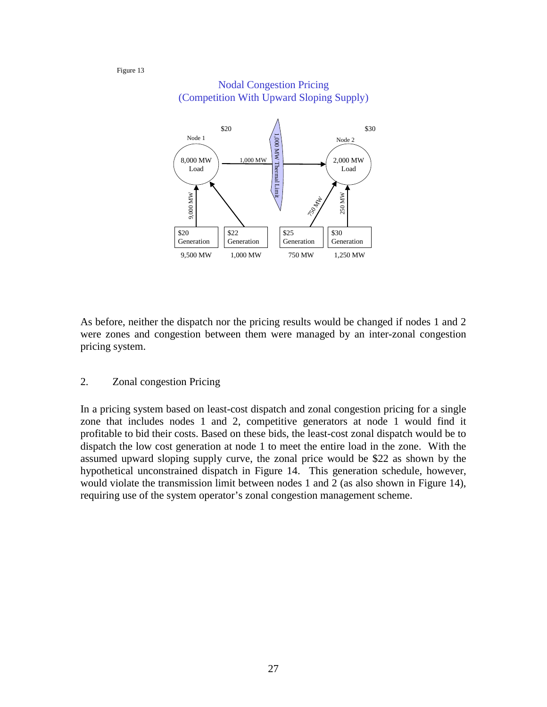#### Figure 13



#### Nodal Congestion Pricing (Competition With Upward Sloping Supply)

As before, neither the dispatch nor the pricing results would be changed if nodes 1 and 2 were zones and congestion between them were managed by an inter-zonal congestion pricing system.

#### 2. Zonal congestion Pricing

In a pricing system based on least-cost dispatch and zonal congestion pricing for a single zone that includes nodes 1 and 2, competitive generators at node 1 would find it profitable to bid their costs. Based on these bids, the least-cost zonal dispatch would be to dispatch the low cost generation at node 1 to meet the entire load in the zone. With the assumed upward sloping supply curve, the zonal price would be \$22 as shown by the hypothetical unconstrained dispatch in Figure 14. This generation schedule, however, would violate the transmission limit between nodes 1 and 2 (as also shown in Figure 14), requiring use of the system operator's zonal congestion management scheme.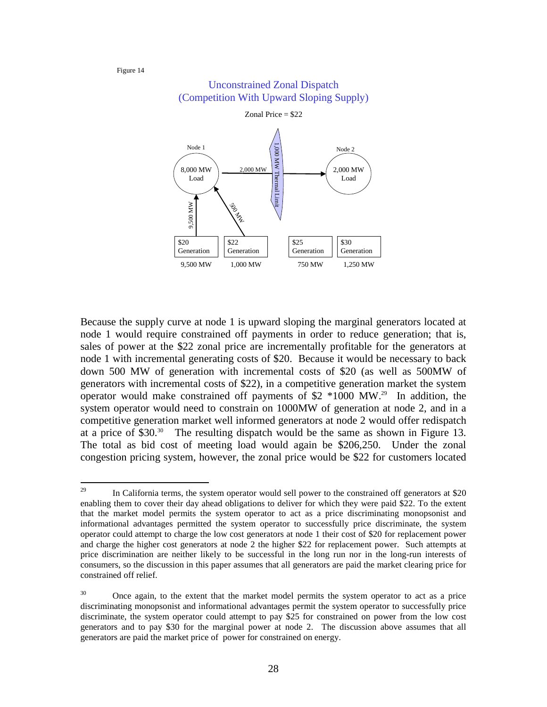#### Figure 14



#### Unconstrained Zonal Dispatch (Competition With Upward Sloping Supply)

Because the supply curve at node 1 is upward sloping the marginal generators located at node 1 would require constrained off payments in order to reduce generation; that is, sales of power at the \$22 zonal price are incrementally profitable for the generators at node 1 with incremental generating costs of \$20. Because it would be necessary to back down 500 MW of generation with incremental costs of \$20 (as well as 500MW of generators with incremental costs of \$22), in a competitive generation market the system operator would make constrained off payments of \$2 \*1000 MW.29 In addition, the system operator would need to constrain on 1000MW of generation at node 2, and in a competitive generation market well informed generators at node 2 would offer redispatch at a price of \$30.30 The resulting dispatch would be the same as shown in Figure 13. The total as bid cost of meeting load would again be \$206,250. Under the zonal congestion pricing system, however, the zonal price would be \$22 for customers located

<sup>29</sup> In California terms, the system operator would sell power to the constrained off generators at \$20 enabling them to cover their day ahead obligations to deliver for which they were paid \$22. To the extent that the market model permits the system operator to act as a price discriminating monopsonist and informational advantages permitted the system operator to successfully price discriminate, the system operator could attempt to charge the low cost generators at node 1 their cost of \$20 for replacement power and charge the higher cost generators at node 2 the higher \$22 for replacement power. Such attempts at price discrimination are neither likely to be successful in the long run nor in the long-run interests of consumers, so the discussion in this paper assumes that all generators are paid the market clearing price for constrained off relief.

<sup>&</sup>lt;sup>30</sup> Once again, to the extent that the market model permits the system operator to act as a price discriminating monopsonist and informational advantages permit the system operator to successfully price discriminate, the system operator could attempt to pay \$25 for constrained on power from the low cost generators and to pay \$30 for the marginal power at node 2. The discussion above assumes that all generators are paid the market price of power for constrained on energy.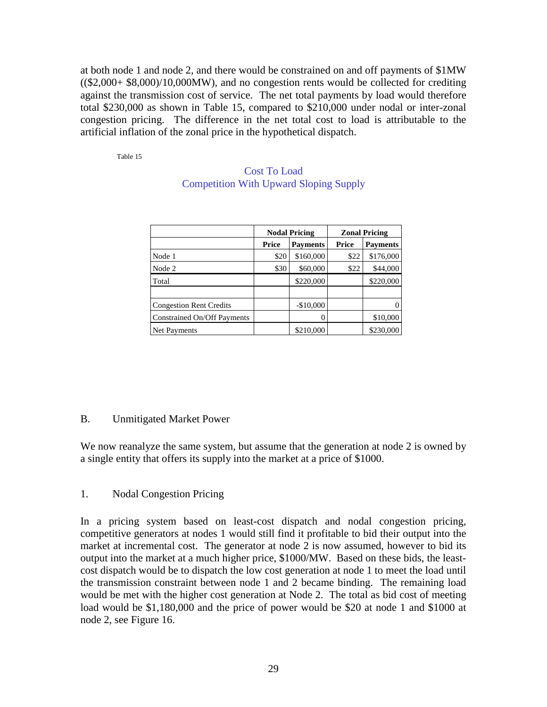at both node 1 and node 2, and there would be constrained on and off payments of \$1MW ((\$2,000+ \$8,000)/10,000MW), and no congestion rents would be collected for crediting against the transmission cost of service. The net total payments by load would therefore total \$230,000 as shown in Table 15, compared to \$210,000 under nodal or inter-zonal congestion pricing. The difference in the net total cost to load is attributable to the artificial inflation of the zonal price in the hypothetical dispatch.

Table 15

|                                               | <b>Cost To Load</b> |  |
|-----------------------------------------------|---------------------|--|
| <b>Competition With Upward Sloping Supply</b> |                     |  |

|                                |       | <b>Nodal Pricing</b> | <b>Zonal Pricing</b> |                 |
|--------------------------------|-------|----------------------|----------------------|-----------------|
|                                | Price | <b>Payments</b>      | Price                | <b>Payments</b> |
| Node 1                         | \$20  | \$160,000            | \$22                 | \$176,000       |
| Node 2                         | \$30  | \$60,000             | \$22                 | \$44,000        |
| Total                          |       | \$220,000            |                      | \$220,000       |
|                                |       |                      |                      |                 |
| <b>Congestion Rent Credits</b> |       | $-$10,000$           |                      |                 |
| Constrained On/Off Payments    |       |                      |                      | \$10,000        |
| Net Payments                   |       | \$210,000            |                      | \$230,000       |

## B. Unmitigated Market Power

We now reanalyze the same system, but assume that the generation at node 2 is owned by a single entity that offers its supply into the market at a price of \$1000.

## 1. Nodal Congestion Pricing

In a pricing system based on least-cost dispatch and nodal congestion pricing, competitive generators at nodes 1 would still find it profitable to bid their output into the market at incremental cost. The generator at node 2 is now assumed, however to bid its output into the market at a much higher price, \$1000/MW. Based on these bids, the leastcost dispatch would be to dispatch the low cost generation at node 1 to meet the load until the transmission constraint between node 1 and 2 became binding. The remaining load would be met with the higher cost generation at Node 2. The total as bid cost of meeting load would be \$1,180,000 and the price of power would be \$20 at node 1 and \$1000 at node 2, see Figure 16.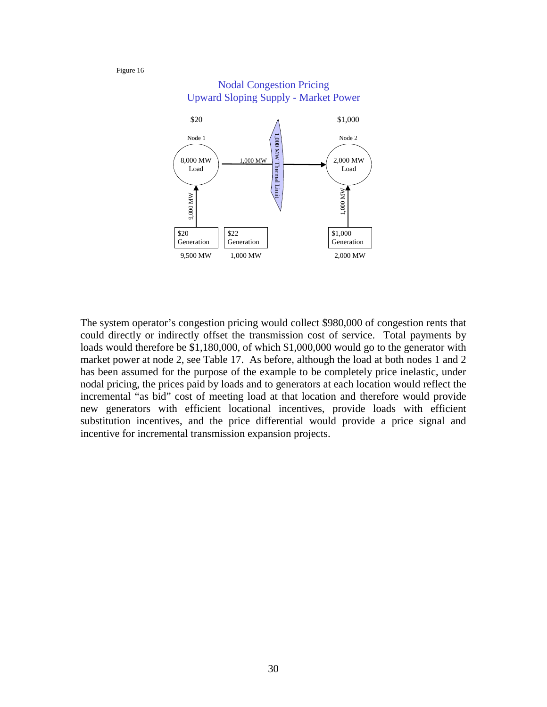Figure 16



The system operator's congestion pricing would collect \$980,000 of congestion rents that could directly or indirectly offset the transmission cost of service. Total payments by loads would therefore be \$1,180,000, of which \$1,000,000 would go to the generator with market power at node 2, see Table 17. As before, although the load at both nodes 1 and 2 has been assumed for the purpose of the example to be completely price inelastic, under nodal pricing, the prices paid by loads and to generators at each location would reflect the incremental "as bid" cost of meeting load at that location and therefore would provide new generators with efficient locational incentives, provide loads with efficient substitution incentives, and the price differential would provide a price signal and incentive for incremental transmission expansion projects.

30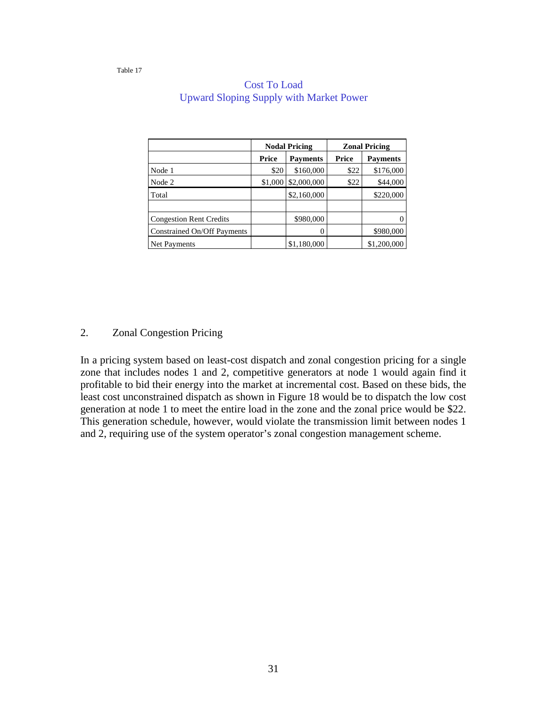|                                |         | <b>Nodal Pricing</b> | <b>Zonal Pricing</b> |                 |
|--------------------------------|---------|----------------------|----------------------|-----------------|
|                                | Price   | <b>Payments</b>      | Price                | <b>Payments</b> |
| Node 1                         | \$20    | \$160,000            | \$22                 | \$176,000       |
| Node 2                         | \$1,000 | \$2,000,000          | \$22                 | \$44,000        |
| Total                          |         | \$2,160,000          |                      | \$220,000       |
|                                |         |                      |                      |                 |
| <b>Congestion Rent Credits</b> |         | \$980,000            |                      |                 |
| Constrained On/Off Payments    |         |                      |                      | \$980,000       |
| Net Payments                   |         | \$1,180,000          |                      | \$1,200,000     |

## Cost To Load Upward Sloping Supply with Market Power

#### 2. Zonal Congestion Pricing

In a pricing system based on least-cost dispatch and zonal congestion pricing for a single zone that includes nodes 1 and 2, competitive generators at node 1 would again find it profitable to bid their energy into the market at incremental cost. Based on these bids, the least cost unconstrained dispatch as shown in Figure 18 would be to dispatch the low cost generation at node 1 to meet the entire load in the zone and the zonal price would be \$22. This generation schedule, however, would violate the transmission limit between nodes 1 and 2, requiring use of the system operator's zonal congestion management scheme.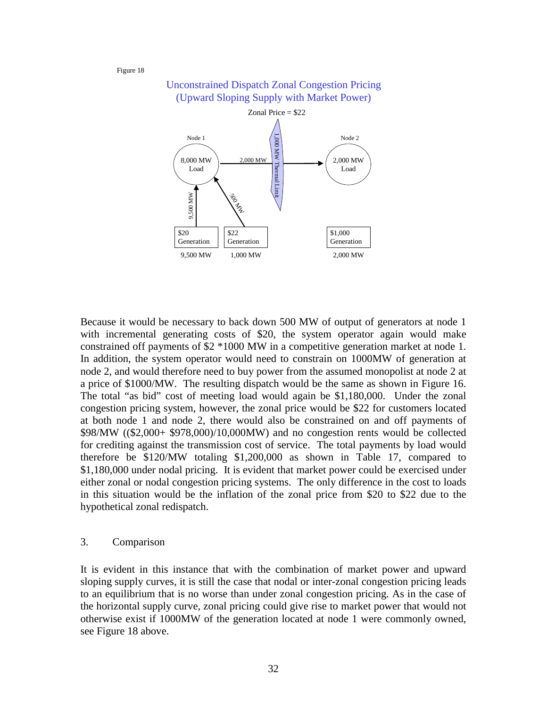#### Figure 18



# Alone The Term although the second of the count of the count of the count of the count of the count of the count of 32 Because it would be necessary to back down 500 MW of output of generators at node 1 with incremental generating costs of \$20, the system operator again would make constrained off payments of \$2 \*1000 MW in a competitive generation market at node 1. In addition, the system operator would need to constrain on 1000MW of generation at node 2, and would therefore need to buy power from the assumed monopolist at node 2 at a price of \$1000/MW. The resulting dispatch would be the same as shown in Figure 16. The total "as bid" cost of meeting load would again be \$1,180,000. Under the zonal congestion pricing system, however, the zonal price would be \$22 for customers located at both node 1 and node 2, there would also be constrained on and off payments of \$98/MW ((\$2,000+ \$978,000)/10,000MW) and no congestion rents would be collected for crediting against the transmission cost of service. The total payments by load would therefore be \$120/MW totaling \$1,200,000 as shown in Table 17, compared to \$1,180,000 under nodal pricing. It is evident that market power could be exercised under either zonal or nodal congestion pricing systems. The only difference in the cost to loads in this situation would be the inflation of the zonal price from \$20 to \$22 due to the hypothetical zonal redispatch.

#### 3. Comparison

It is evident in this instance that with the combination of market power and upward sloping supply curves, it is still the case that nodal or inter-zonal congestion pricing leads to an equilibrium that is no worse than under zonal congestion pricing. As in the case of the horizontal supply curve, zonal pricing could give rise to market power that would not otherwise exist if 1000MW of the generation located at node 1 were commonly owned, see Figure 18 above.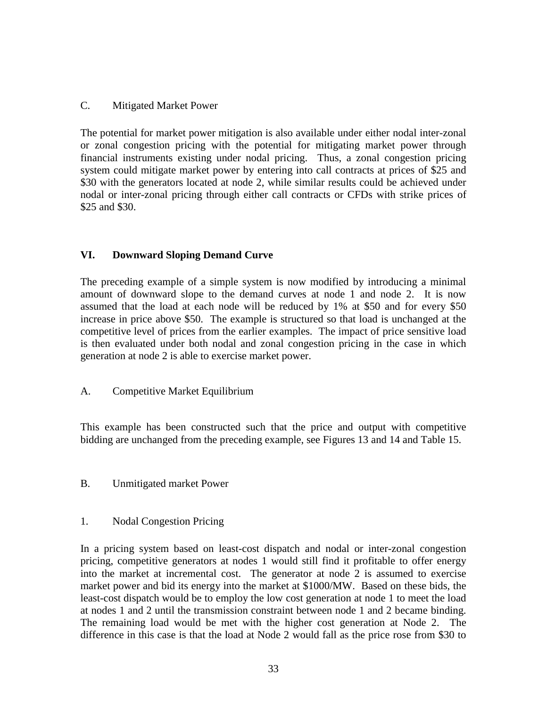#### C. Mitigated Market Power

The potential for market power mitigation is also available under either nodal inter-zonal or zonal congestion pricing with the potential for mitigating market power through financial instruments existing under nodal pricing. Thus, a zonal congestion pricing system could mitigate market power by entering into call contracts at prices of \$25 and \$30 with the generators located at node 2, while similar results could be achieved under nodal or inter-zonal pricing through either call contracts or CFDs with strike prices of \$25 and \$30.

## **VI. Downward Sloping Demand Curve**

The preceding example of a simple system is now modified by introducing a minimal amount of downward slope to the demand curves at node 1 and node 2. It is now assumed that the load at each node will be reduced by 1% at \$50 and for every \$50 increase in price above \$50. The example is structured so that load is unchanged at the competitive level of prices from the earlier examples. The impact of price sensitive load is then evaluated under both nodal and zonal congestion pricing in the case in which generation at node 2 is able to exercise market power.

## A. Competitive Market Equilibrium

This example has been constructed such that the price and output with competitive bidding are unchanged from the preceding example, see Figures 13 and 14 and Table 15.

## B. Unmitigated market Power

#### 1. Nodal Congestion Pricing

In a pricing system based on least-cost dispatch and nodal or inter-zonal congestion pricing, competitive generators at nodes 1 would still find it profitable to offer energy into the market at incremental cost. The generator at node 2 is assumed to exercise market power and bid its energy into the market at \$1000/MW. Based on these bids, the least-cost dispatch would be to employ the low cost generation at node 1 to meet the load at nodes 1 and 2 until the transmission constraint between node 1 and 2 became binding. The remaining load would be met with the higher cost generation at Node 2. The difference in this case is that the load at Node 2 would fall as the price rose from \$30 to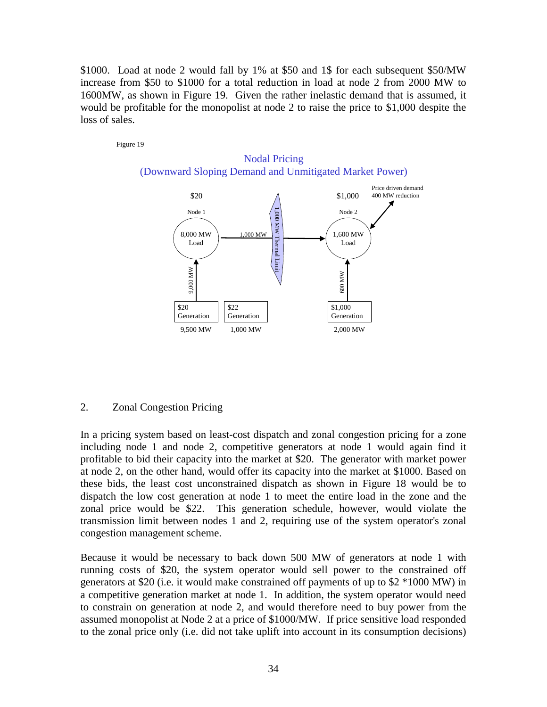\$1000. Load at node 2 would fall by 1% at \$50 and 1\$ for each subsequent \$50/MW increase from \$50 to \$1000 for a total reduction in load at node 2 from 2000 MW to 1600MW, as shown in Figure 19. Given the rather inelastic demand that is assumed, it would be profitable for the monopolist at node 2 to raise the price to \$1,000 despite the loss of sales.

Figure 19



#### 2. Zonal Congestion Pricing

In a pricing system based on least-cost dispatch and zonal congestion pricing for a zone including node 1 and node 2, competitive generators at node 1 would again find it profitable to bid their capacity into the market at \$20. The generator with market power at node 2, on the other hand, would offer its capacity into the market at \$1000. Based on these bids, the least cost unconstrained dispatch as shown in Figure 18 would be to dispatch the low cost generation at node 1 to meet the entire load in the zone and the zonal price would be \$22. This generation schedule, however, would violate the transmission limit between nodes 1 and 2, requiring use of the system operator's zonal congestion management scheme.

Because it would be necessary to back down 500 MW of generators at node 1 with running costs of \$20, the system operator would sell power to the constrained off generators at \$20 (i.e. it would make constrained off payments of up to \$2 \*1000 MW) in a competitive generation market at node 1. In addition, the system operator would need to constrain on generation at node 2, and would therefore need to buy power from the assumed monopolist at Node 2 at a price of \$1000/MW. If price sensitive load responded to the zonal price only (i.e. did not take uplift into account in its consumption decisions)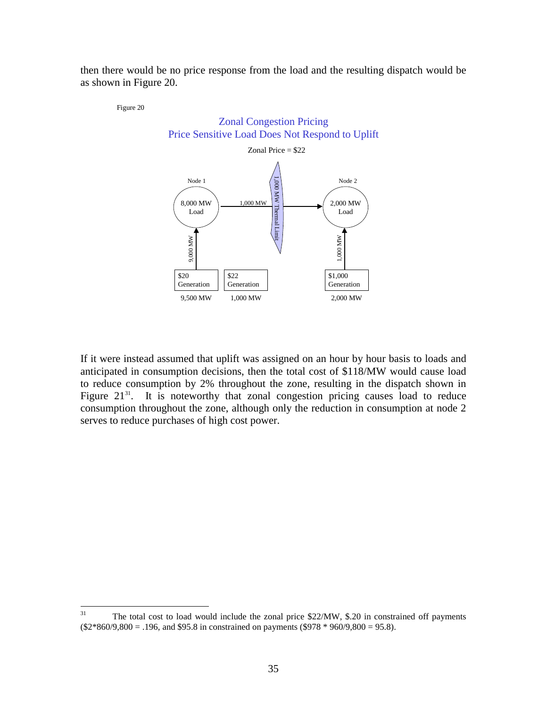then there would be no price response from the load and the resulting dispatch would be as shown in Figure 20.

Figure 20



If it were instead assumed that uplift was assigned on an hour by hour basis to loads and anticipated in consumption decisions, then the total cost of \$118/MW would cause load to reduce consumption by 2% throughout the zone, resulting in the dispatch shown in Figure  $21^{31}$ . It is noteworthy that zonal congestion pricing causes load to reduce consumption throughout the zone, although only the reduction in consumption at node 2 serves to reduce purchases of high cost power.

 $31$ The total cost to load would include the zonal price \$22/MW, \$.20 in constrained off payments  $($2*860/9,800 = .196, and $95.8 in constrained on payments ($978 * 960/9,800 = 95.8).$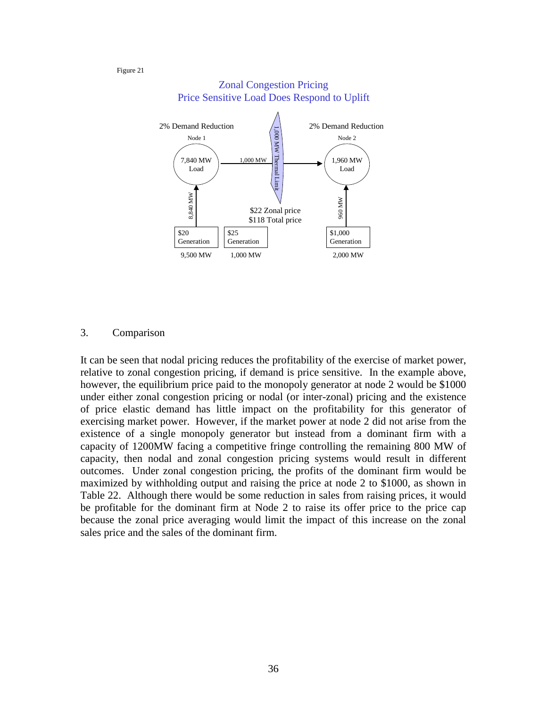Figure 21



#### Zonal Congestion Pricing Price Sensitive Load Does Respond to Uplift

#### 3. Comparison

It can be seen that nodal pricing reduces the profitability of the exercise of market power, relative to zonal congestion pricing, if demand is price sensitive. In the example above, however, the equilibrium price paid to the monopoly generator at node 2 would be \$1000 under either zonal congestion pricing or nodal (or inter-zonal) pricing and the existence of price elastic demand has little impact on the profitability for this generator of exercising market power. However, if the market power at node 2 did not arise from the existence of a single monopoly generator but instead from a dominant firm with a capacity of 1200MW facing a competitive fringe controlling the remaining 800 MW of capacity, then nodal and zonal congestion pricing systems would result in different outcomes. Under zonal congestion pricing, the profits of the dominant firm would be maximized by withholding output and raising the price at node 2 to \$1000, as shown in Table 22. Although there would be some reduction in sales from raising prices, it would be profitable for the dominant firm at Node 2 to raise its offer price to the price cap because the zonal price averaging would limit the impact of this increase on the zonal sales price and the sales of the dominant firm.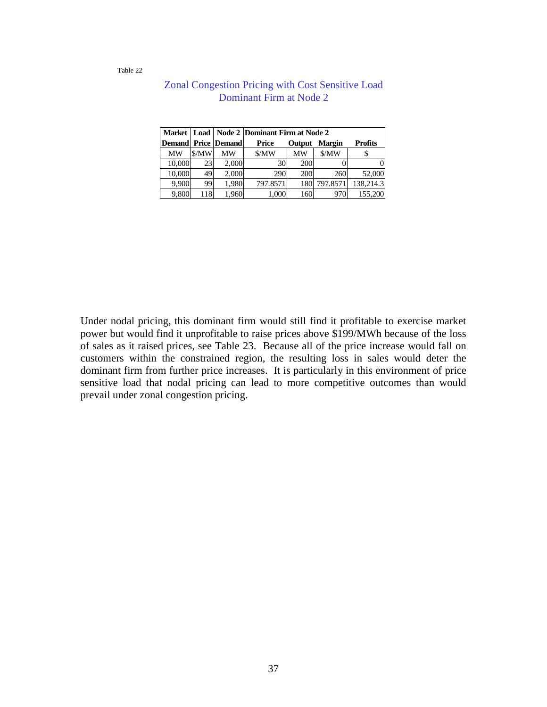Table 22

|               |     |                       | Market   Load   Node 2   Dominant Firm at Node 2 |        |               |                |  |  |
|---------------|-----|-----------------------|--------------------------------------------------|--------|---------------|----------------|--|--|
| <b>Demand</b> |     | <b>Price  Demand </b> | Price                                            | Output | <b>Margin</b> | <b>Profits</b> |  |  |
| MW            | MW  | МW                    | \$/MW                                            | MW     | \$/MW         | P              |  |  |
| 10,000        | 23  | 2,000                 | 30                                               | 200    |               |                |  |  |
| 10,000        | 49  | 2,000                 | 290                                              | 200    | 260           | 52,000         |  |  |
| 9,900         | 99  | 1,980                 | 797.8571                                         | 180    | 797.8571      | 138,214.3      |  |  |
| 9,800         | 118 | 1,960                 | 1,000                                            | 160    | 970           | 155,200        |  |  |

## Zonal Congestion Pricing with Cost Sensitive Load Dominant Firm at Node 2

Under nodal pricing, this dominant firm would still find it profitable to exercise market power but would find it unprofitable to raise prices above \$199/MWh because of the loss of sales as it raised prices, see Table 23. Because all of the price increase would fall on customers within the constrained region, the resulting loss in sales would deter the dominant firm from further price increases. It is particularly in this environment of price sensitive load that nodal pricing can lead to more competitive outcomes than would prevail under zonal congestion pricing.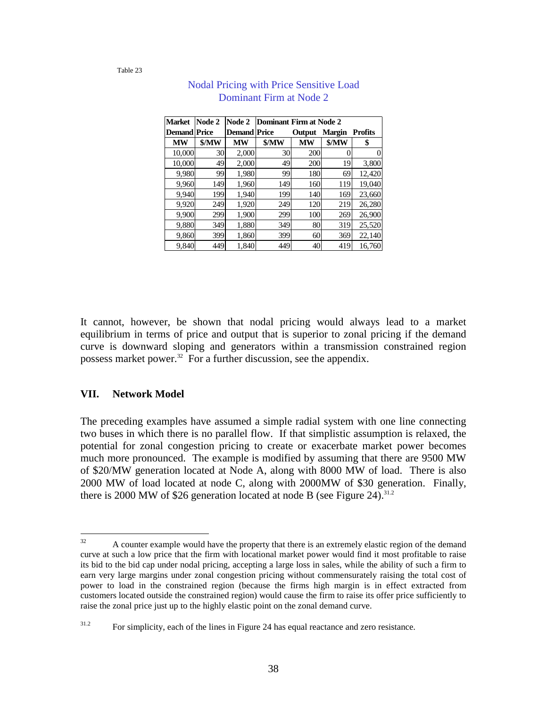Table 23

| <b>Market</b>       | Node 2 | Node 2              | Dominant Firm at Node 2 |           |        |                |  |
|---------------------|--------|---------------------|-------------------------|-----------|--------|----------------|--|
| <b>Demand</b> Price |        | <b>Demand Price</b> |                         | Output    | Margin | <b>Profits</b> |  |
| <b>MW</b>           | \$/MW  | MW                  | \$/MW                   | <b>MW</b> | \$/MW  | \$             |  |
| 10,000              | 30     | 2,000               | 30                      | 200       |        |                |  |
| 10,000              | 49     | 2,000               | 49                      | 200       | 19     | 3,800          |  |
| 9,980               | 99     | 1,980               | 99                      | 180       | 69     | 12,420         |  |
| 9,960               | 149    | 1,960               | 149                     | 160       | 119    | 19,040         |  |
| 9,940               | 199    | 1,940               | 199                     | 140       | 169    | 23,660         |  |
| 9,920               | 249    | 1,920               | 249                     | 120       | 219    | 26,280         |  |
| 9,900               | 299    | 1,900               | 299                     | 100       | 269    | 26,900         |  |
| 9,880               | 349    | 1,880               | 349                     | 80        | 319    | 25,520         |  |
| 9,860               | 399    | 1,860               | 399                     | 60        | 369    | 22,140         |  |
| 9,840               | 449    | 1,840               | 449                     | 40        | 419    | 16,760         |  |

## Nodal Pricing with Price Sensitive Load Dominant Firm at Node 2

It cannot, however, be shown that nodal pricing would always lead to a market equilibrium in terms of price and output that is superior to zonal pricing if the demand curve is downward sloping and generators within a transmission constrained region possess market power.<sup>32</sup> For a further discussion, see the appendix.

#### **VII. Network Model**

The preceding examples have assumed a simple radial system with one line connecting two buses in which there is no parallel flow. If that simplistic assumption is relaxed, the potential for zonal congestion pricing to create or exacerbate market power becomes much more pronounced. The example is modified by assuming that there are 9500 MW of \$20/MW generation located at Node A, along with 8000 MW of load. There is also 2000 MW of load located at node C, along with 2000MW of \$30 generation. Finally, there is 2000 MW of \$26 generation located at node B (see Figure 24).<sup>31.2</sup>

<sup>32</sup> A counter example would have the property that there is an extremely elastic region of the demand curve at such a low price that the firm with locational market power would find it most profitable to raise its bid to the bid cap under nodal pricing, accepting a large loss in sales, while the ability of such a firm to earn very large margins under zonal congestion pricing without commensurately raising the total cost of power to load in the constrained region (because the firms high margin is in effect extracted from customers located outside the constrained region) would cause the firm to raise its offer price sufficiently to raise the zonal price just up to the highly elastic point on the zonal demand curve.

<sup>&</sup>lt;sup>31.2</sup> For simplicity, each of the lines in Figure 24 has equal reactance and zero resistance.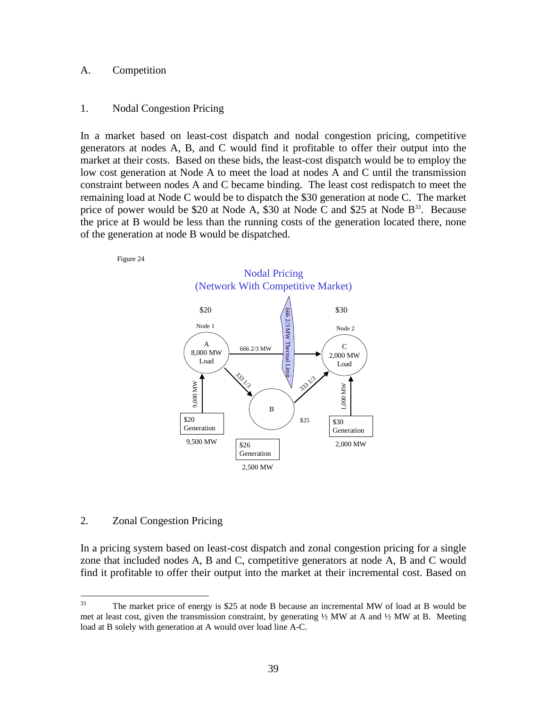#### A. Competition

#### 1. Nodal Congestion Pricing

In a market based on least-cost dispatch and nodal congestion pricing, competitive generators at nodes A, B, and C would find it profitable to offer their output into the market at their costs. Based on these bids, the least-cost dispatch would be to employ the low cost generation at Node A to meet the load at nodes A and C until the transmission constraint between nodes A and C became binding. The least cost redispatch to meet the remaining load at Node C would be to dispatch the \$30 generation at node C. The market price of power would be \$20 at Node A, \$30 at Node C and \$25 at Node  $B^{33}$ . Because the price at B would be less than the running costs of the generation located there, none of the generation at node B would be dispatched.





#### 2. Zonal Congestion Pricing

In a pricing system based on least-cost dispatch and zonal congestion pricing for a single zone that included nodes A, B and C, competitive generators at node A, B and C would find it profitable to offer their output into the market at their incremental cost. Based on

<sup>33</sup> The market price of energy is \$25 at node B because an incremental MW of load at B would be met at least cost, given the transmission constraint, by generating  $\frac{1}{2}$  MW at A and  $\frac{1}{2}$  MW at B. Meeting load at B solely with generation at A would over load line A-C.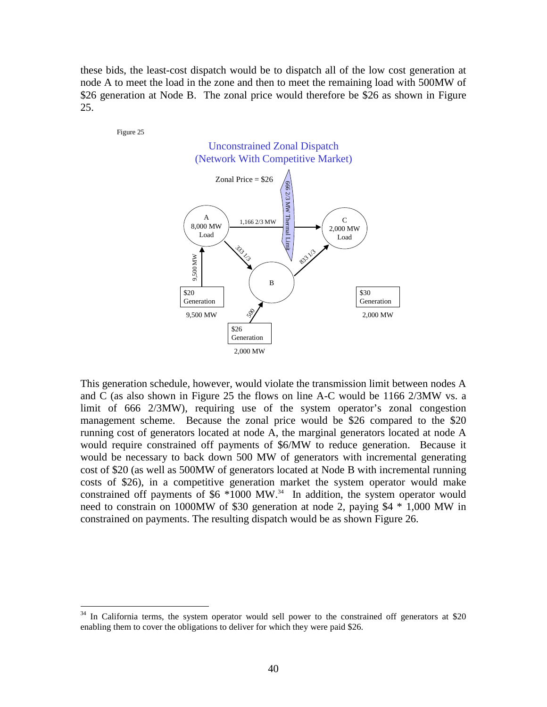these bids, the least-cost dispatch would be to dispatch all of the low cost generation at node A to meet the load in the zone and then to meet the remaining load with 500MW of \$26 generation at Node B. The zonal price would therefore be \$26 as shown in Figure 25.



This generation schedule, however, would violate the transmission limit between nodes A and C (as also shown in Figure 25 the flows on line A-C would be 1166 2/3MW vs. a limit of 666 2/3MW), requiring use of the system operator's zonal congestion management scheme. Because the zonal price would be \$26 compared to the \$20 running cost of generators located at node A, the marginal generators located at node A would require constrained off payments of \$6/MW to reduce generation. Because it would be necessary to back down 500 MW of generators with incremental generating cost of \$20 (as well as 500MW of generators located at Node B with incremental running costs of \$26), in a competitive generation market the system operator would make constrained off payments of \$6 \*1000 MW.<sup>34</sup> In addition, the system operator would need to constrain on 1000MW of \$30 generation at node 2, paying \$4 \* 1,000 MW in constrained on payments. The resulting dispatch would be as shown Figure 26.

 $\overline{a}$ 

 $34$  In California terms, the system operator would sell power to the constrained off generators at \$20 enabling them to cover the obligations to deliver for which they were paid \$26.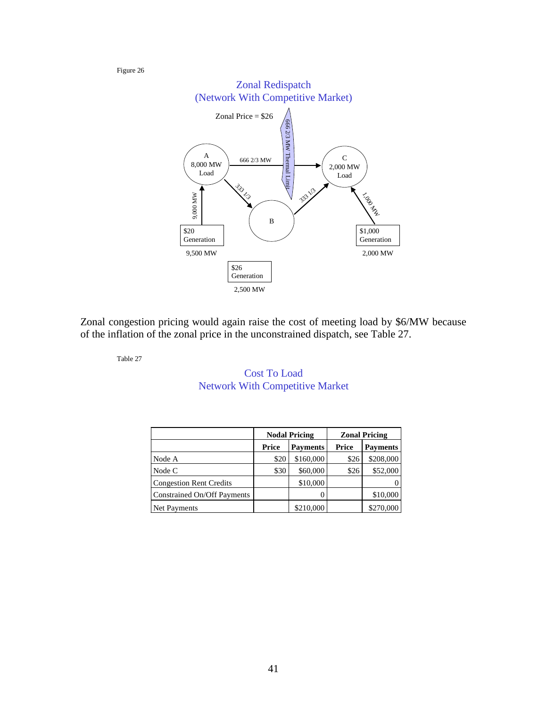

Zonal congestion pricing would again raise the cost of meeting load by \$6/MW because of the inflation of the zonal price in the unconstrained dispatch, see Table 27.

Table 27

## Cost To Load Network With Competitive Market

|                                |       | <b>Nodal Pricing</b> | <b>Zonal Pricing</b> |                 |
|--------------------------------|-------|----------------------|----------------------|-----------------|
|                                | Price | <b>Payments</b>      | Price                | <b>Payments</b> |
| Node A                         | \$20  | \$160,000            | \$26                 | \$208,000       |
| Node C                         | \$30  | \$60,000             | \$26                 | \$52,000        |
| <b>Congestion Rent Credits</b> |       | \$10,000             |                      |                 |
| Constrained On/Off Payments    |       |                      |                      | \$10,000        |
| Net Payments                   |       | \$210,000            |                      | \$270,000       |

Figure 26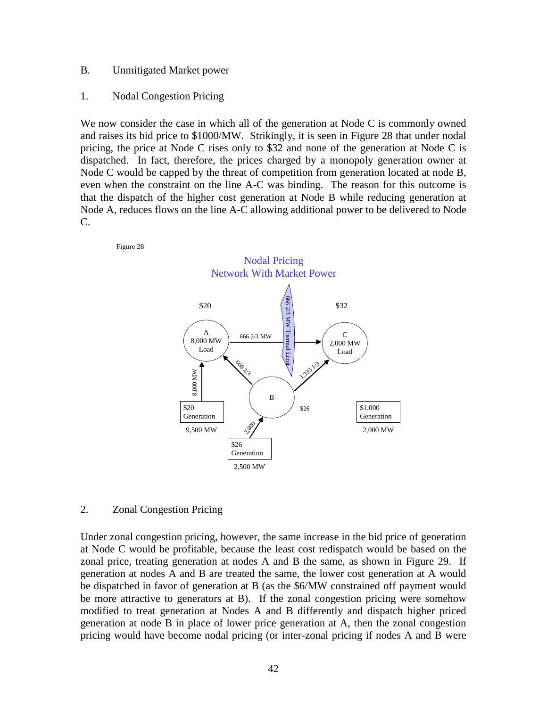#### B. Unmitigated Market power

#### 1. Nodal Congestion Pricing

Figure 28

We now consider the case in which all of the generation at Node C is commonly owned and raises its bid price to \$1000/MW. Strikingly, it is seen in Figure 28 that under nodal pricing, the price at Node C rises only to \$32 and none of the generation at Node C is dispatched. In fact, therefore, the prices charged by a monopoly generation owner at Node C would be capped by the threat of competition from generation located at node B, even when the constraint on the line A-C was binding. The reason for this outcome is that the dispatch of the higher cost generation at Node B while reducing generation at Node A, reduces flows on the line A-C allowing additional power to be delivered to Node C.



#### 2. Zonal Congestion Pricing

Under zonal congestion pricing, however, the same increase in the bid price of generation at Node C would be profitable, because the least cost redispatch would be based on the zonal price, treating generation at nodes A and B the same, as shown in Figure 29. If generation at nodes A and B are treated the same, the lower cost generation at A would be dispatched in favor of generation at B (as the \$6/MW constrained off payment would be more attractive to generators at B). If the zonal congestion pricing were somehow modified to treat generation at Nodes A and B differently and dispatch higher priced generation at node B in place of lower price generation at A, then the zonal congestion pricing would have become nodal pricing (or inter-zonal pricing if nodes A and B were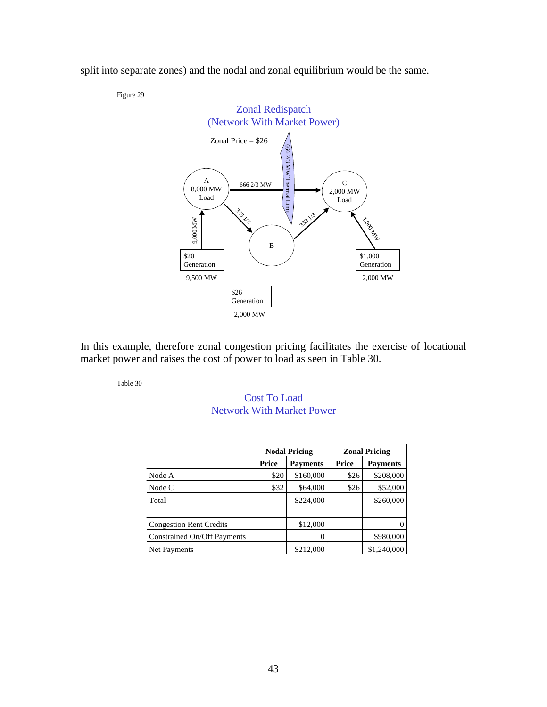split into separate zones) and the nodal and zonal equilibrium would be the same.

Figure 29



In this example, therefore zonal congestion pricing facilitates the exercise of locational market power and raises the cost of power to load as seen in Table 30.

Table 30

Cost To Load Network With Market Power

|                                |       | <b>Nodal Pricing</b> | <b>Zonal Pricing</b> |                 |
|--------------------------------|-------|----------------------|----------------------|-----------------|
|                                | Price | <b>Payments</b>      | Price                | <b>Payments</b> |
| Node A                         | \$20  | \$160,000            | \$26                 | \$208,000       |
| Node C                         | \$32  | \$64,000             | \$26                 | \$52,000        |
| Total                          |       | \$224,000            |                      | \$260,000       |
|                                |       |                      |                      |                 |
| <b>Congestion Rent Credits</b> |       | \$12,000             |                      |                 |
| Constrained On/Off Payments    |       |                      |                      | \$980,000       |
| Net Payments                   |       | \$212,000            |                      | \$1,240,000     |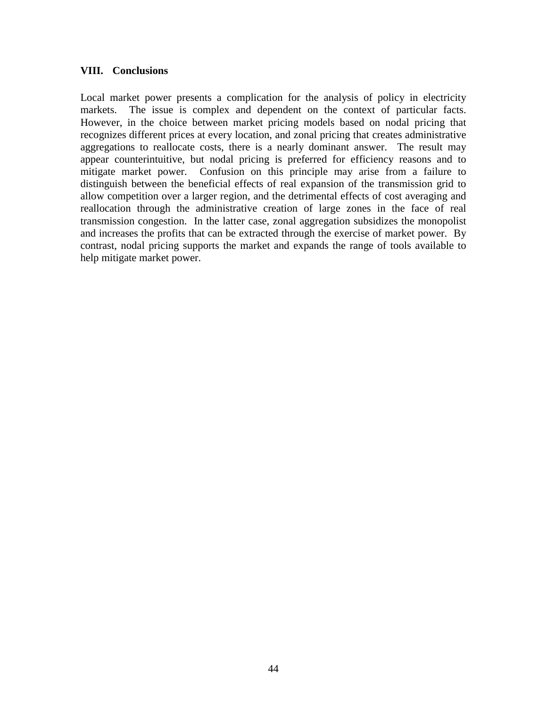#### **VIII. Conclusions**

Local market power presents a complication for the analysis of policy in electricity markets. The issue is complex and dependent on the context of particular facts. However, in the choice between market pricing models based on nodal pricing that recognizes different prices at every location, and zonal pricing that creates administrative aggregations to reallocate costs, there is a nearly dominant answer. The result may appear counterintuitive, but nodal pricing is preferred for efficiency reasons and to mitigate market power. Confusion on this principle may arise from a failure to distinguish between the beneficial effects of real expansion of the transmission grid to allow competition over a larger region, and the detrimental effects of cost averaging and reallocation through the administrative creation of large zones in the face of real transmission congestion. In the latter case, zonal aggregation subsidizes the monopolist and increases the profits that can be extracted through the exercise of market power. By contrast, nodal pricing supports the market and expands the range of tools available to help mitigate market power.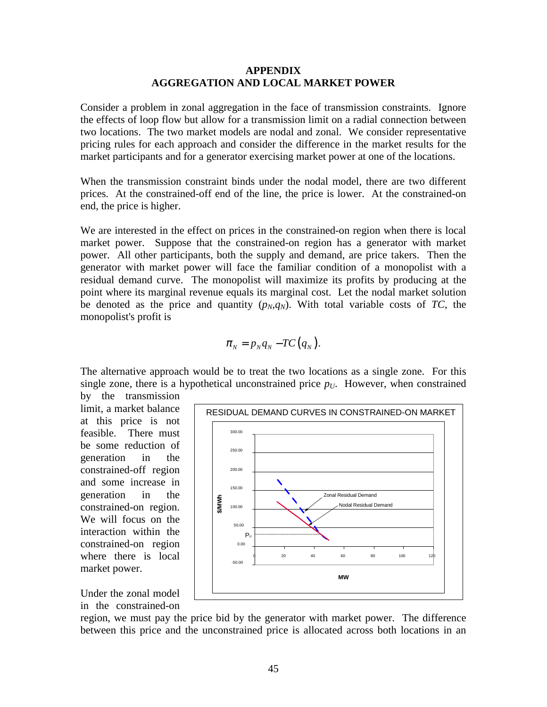#### **APPENDIX AGGREGATION AND LOCAL MARKET POWER**

Consider a problem in zonal aggregation in the face of transmission constraints. Ignore the effects of loop flow but allow for a transmission limit on a radial connection between two locations. The two market models are nodal and zonal. We consider representative pricing rules for each approach and consider the difference in the market results for the market participants and for a generator exercising market power at one of the locations.

When the transmission constraint binds under the nodal model, there are two different prices. At the constrained-off end of the line, the price is lower. At the constrained-on end, the price is higher.

We are interested in the effect on prices in the constrained-on region when there is local market power. Suppose that the constrained-on region has a generator with market power. All other participants, both the supply and demand, are price takers. Then the generator with market power will face the familiar condition of a monopolist with a residual demand curve. The monopolist will maximize its profits by producing at the point where its marginal revenue equals its marginal cost. Let the nodal market solution be denoted as the price and quantity  $(p_N, q_N)$ . With total variable costs of *TC*, the monopolist's profit is

$$
\pi_{N}=p_{N}q_{N}-TC(q_{N}).
$$

The alternative approach would be to treat the two locations as a single zone. For this single zone, there is a hypothetical unconstrained price  $p_U$ . However, when constrained

by the transmission limit, a market balance at this price is not feasible. There must be some reduction of generation in the constrained-off region and some increase in generation in the constrained-on region. We will focus on the interaction within the constrained-on region where there is local market power.



Under the zonal model in the constrained-on

region, we must pay the price bid by the generator with market power. The difference between this price and the unconstrained price is allocated across both locations in an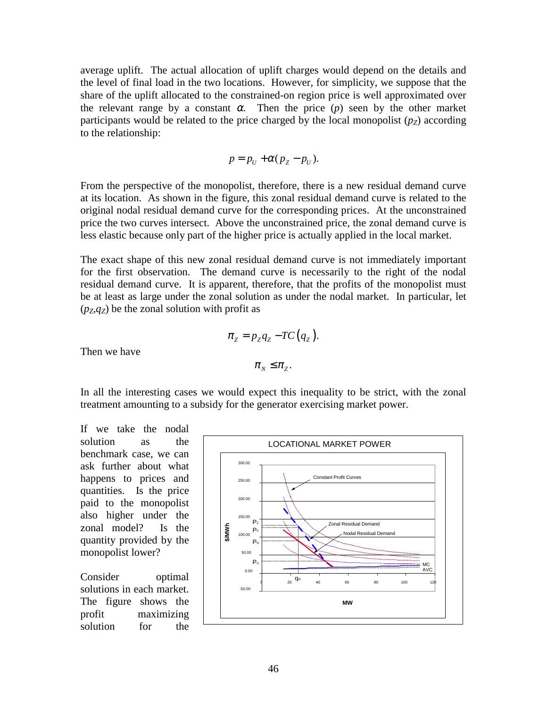average uplift. The actual allocation of uplift charges would depend on the details and the level of final load in the two locations. However, for simplicity, we suppose that the share of the uplift allocated to the constrained-on region price is well approximated over the relevant range by a constant  $\alpha$ . Then the price  $(p)$  seen by the other market participants would be related to the price charged by the local monopolist  $(p_Z)$  according to the relationship:

$$
p = p_U + \alpha (p_Z - p_U).
$$

From the perspective of the monopolist, therefore, there is a new residual demand curve at its location. As shown in the figure, this zonal residual demand curve is related to the original nodal residual demand curve for the corresponding prices. At the unconstrained price the two curves intersect. Above the unconstrained price, the zonal demand curve is less elastic because only part of the higher price is actually applied in the local market.

The exact shape of this new zonal residual demand curve is not immediately important for the first observation. The demand curve is necessarily to the right of the nodal residual demand curve. It is apparent, therefore, that the profits of the monopolist must be at least as large under the zonal solution as under the nodal market. In particular, let  $(p_Z, q_Z)$  be the zonal solution with profit as

$$
\pi_z = p_z q_z - TC(q_z).
$$
  

$$
\pi_y \leq \pi_z.
$$

Then we have

In all the interesting cases we would expect this inequality to be strict, with the zonal treatment amounting to a subsidy for the generator exercising market power.

If we take the nodal solution as the benchmark case, we can ask further about what happens to prices and quantities. Is the price paid to the monopolist also higher under the zonal model? Is the quantity provided by the monopolist lower?

Consider optimal solutions in each market. The figure shows the profit maximizing solution for the

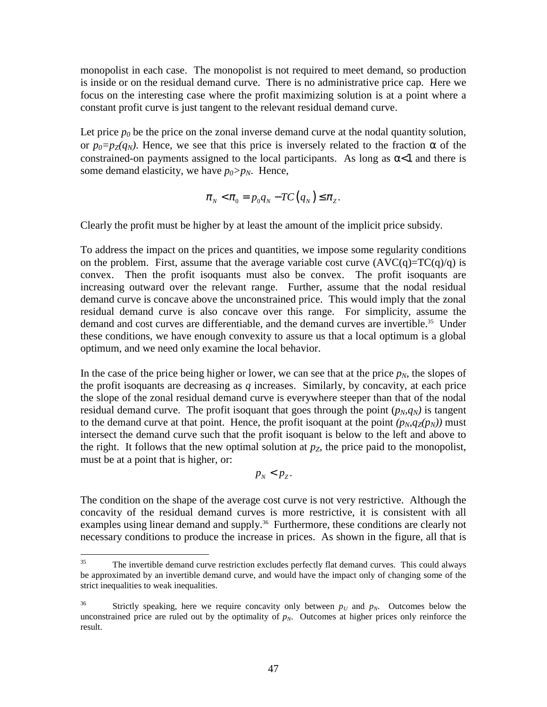monopolist in each case. The monopolist is not required to meet demand, so production is inside or on the residual demand curve. There is no administrative price cap. Here we focus on the interesting case where the profit maximizing solution is at a point where a constant profit curve is just tangent to the relevant residual demand curve.

Let price  $p_0$  be the price on the zonal inverse demand curve at the nodal quantity solution, or  $p_0=p_Z(q_N)$ . Hence, we see that this price is inversely related to the fraction  $\alpha$  of the constrained-on payments assigned to the local participants. As long as  $\alpha$ <1 and there is some demand elasticity, we have  $p_0 > p_N$ . Hence,

$$
\pi_{N} < \pi_{0} = p_{0}q_{N} - TC(q_{N}) \leq \pi_{Z}.
$$

Clearly the profit must be higher by at least the amount of the implicit price subsidy.

To address the impact on the prices and quantities, we impose some regularity conditions on the problem. First, assume that the average variable cost curve  $(AVC(q)=TC(q)/q)$  is convex. Then the profit isoquants must also be convex. The profit isoquants are increasing outward over the relevant range. Further, assume that the nodal residual demand curve is concave above the unconstrained price. This would imply that the zonal residual demand curve is also concave over this range. For simplicity, assume the demand and cost curves are differentiable, and the demand curves are invertible.<sup>35</sup> Under these conditions, we have enough convexity to assure us that a local optimum is a global optimum, and we need only examine the local behavior.

In the case of the price being higher or lower, we can see that at the price  $p_N$ , the slopes of the profit isoquants are decreasing as *q* increases. Similarly, by concavity, at each price the slope of the zonal residual demand curve is everywhere steeper than that of the nodal residual demand curve. The profit isoquant that goes through the point  $(p_N, q_N)$  is tangent to the demand curve at that point. Hence, the profit isoquant at the point  $(p_N, q_Z(p_N))$  must intersect the demand curve such that the profit isoquant is below to the left and above to the right. It follows that the new optimal solution at  $p<sub>Z</sub>$ , the price paid to the monopolist, must be at a point that is higher, or:

 $p_N < p_Z$ .

The condition on the shape of the average cost curve is not very restrictive. Although the concavity of the residual demand curves is more restrictive, it is consistent with all examples using linear demand and supply.<sup>36</sup> Furthermore, these conditions are clearly not necessary conditions to produce the increase in prices. As shown in the figure, all that is

 $35<sup>5</sup>$ The invertible demand curve restriction excludes perfectly flat demand curves. This could always be approximated by an invertible demand curve, and would have the impact only of changing some of the strict inequalities to weak inequalities.

<sup>&</sup>lt;sup>36</sup> Strictly speaking, here we require concavity only between  $p_U$  and  $p_N$ . Outcomes below the unconstrained price are ruled out by the optimality of  $p_N$ . Outcomes at higher prices only reinforce the result.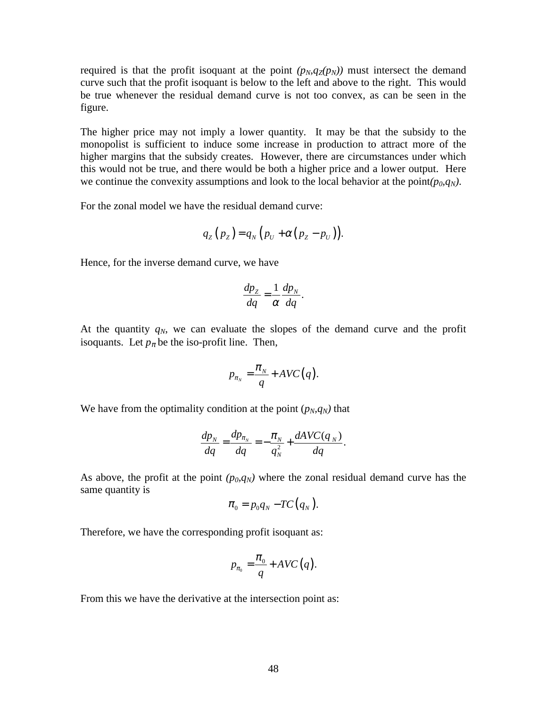required is that the profit isoquant at the point  $(p_N, q_Z(p_N))$  must intersect the demand curve such that the profit isoquant is below to the left and above to the right. This would be true whenever the residual demand curve is not too convex, as can be seen in the figure.

The higher price may not imply a lower quantity. It may be that the subsidy to the monopolist is sufficient to induce some increase in production to attract more of the higher margins that the subsidy creates. However, there are circumstances under which this would not be true, and there would be both a higher price and a lower output. Here we continue the convexity assumptions and look to the local behavior at the point $(p_0, q_N)$ .

For the zonal model we have the residual demand curve:

$$
q_{Z}(p_{Z})=q_{N}(p_{U}+\alpha(p_{Z}-p_{U})).
$$

Hence, for the inverse demand curve, we have

$$
\frac{dp_Z}{dq} = \frac{1}{\alpha} \frac{dp_N}{dq}.
$$

At the quantity  $q_N$ , we can evaluate the slopes of the demand curve and the profit isoquants. Let  $p_{\pi}$  be the iso-profit line. Then,

$$
p_{\pi_N} = \frac{\pi_N}{q} + AVC(q).
$$

We have from the optimality condition at the point  $(p_N, q_N)$  that

$$
\frac{dp_N}{dq} = \frac{dp_{\pi_N}}{dq} = -\frac{\pi_N}{q_N^2} + \frac{dAVC(q_N)}{dq}.
$$

As above, the profit at the point  $(p_0, q_N)$  where the zonal residual demand curve has the same quantity is

$$
\pi_{0}=p_{0}q_{N}-TC(q_{N}).
$$

Therefore, we have the corresponding profit isoquant as:

$$
p_{\pi_0} = \frac{\pi_0}{q} + AVC(q).
$$

From this we have the derivative at the intersection point as: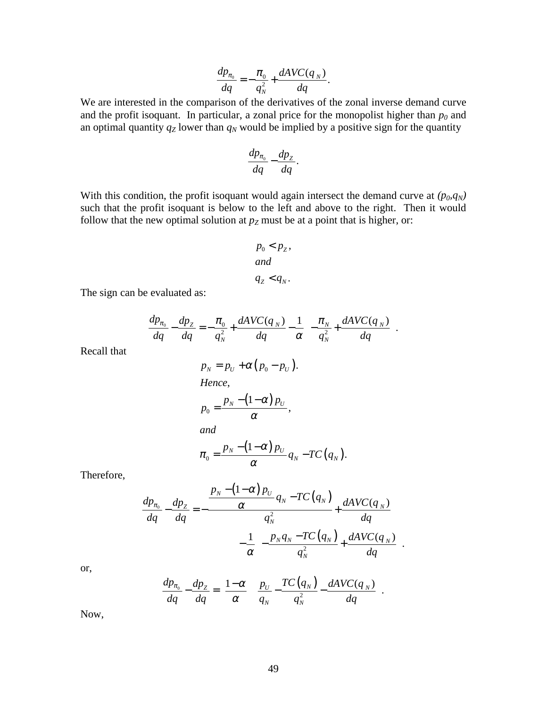$$
\frac{dp_{\pi_0}}{dq} = -\frac{\pi_0}{q_N^2} + \frac{dAVC(q_N)}{dq}.
$$

We are interested in the comparison of the derivatives of the zonal inverse demand curve and the profit isoquant. In particular, a zonal price for the monopolist higher than  $p_0$  and an optimal quantity  $q_Z$  lower than  $q_N$  would be implied by a positive sign for the quantity

$$
\frac{dp_{\pi_0}}{dq} - \frac{dp_Z}{dq}.
$$

With this condition, the profit isoquant would again intersect the demand curve at  $(p_0, q_N)$ such that the profit isoquant is below to the left and above to the right. Then it would follow that the new optimal solution at  $p_Z$  must be at a point that is higher, or:

$$
p_0 < p_z,
$$
\nand

\n
$$
q_z < q_N.
$$

The sign can be evaluated as:

$$
\frac{dp_{\pi_0}}{dq} - \frac{dp_Z}{dq} = -\frac{\pi_0}{q_N^2} + \frac{dAVC(q_N)}{dq} - \frac{1}{\alpha} \left[ -\frac{\pi_N}{q_N^2} + \frac{dAVC(q_N)}{dq} \right].
$$

Recall that

$$
p_N = p_U + \alpha (p_0 - p_U).
$$
  
Hence,  

$$
p_0 = \frac{p_N - (1 - \alpha) p_U}{\alpha},
$$
  
and  

$$
\pi_0 = \frac{p_N - (1 - \alpha) p_U}{\alpha} q_N - TC(q_N).
$$

Therefore,

$$
\frac{dp_{\pi_0}}{dq} - \frac{dp_Z}{dq} = -\frac{\frac{p_N - (1 - \alpha) p_U}{\alpha} q_N - TC(q_N)}{-q_N^2} + \frac{dAVC(q_N)}{dq}
$$

$$
-\frac{1}{\alpha} \left[ -\frac{p_N q_N - TC(q_N)}{q_N^2} + \frac{dAVC(q_N)}{dq} \right].
$$

or,

$$
\frac{dp_{\pi_0}}{dq} - \frac{dp_Z}{dq} = \left[\frac{1-\alpha}{\alpha}\right] \left[\frac{p_U}{q_N} - \frac{TC(q_N)}{q_N^2} - \frac{dAVC(q_N)}{dq}\right].
$$

Now,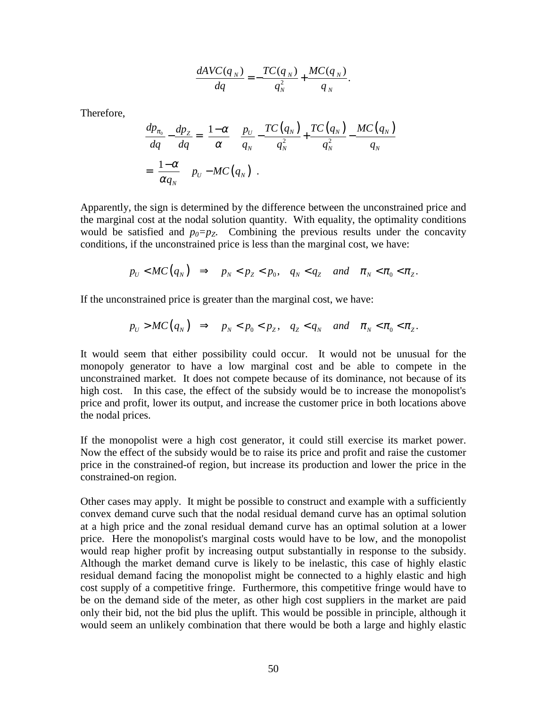$$
\frac{dAVC(q_N)}{dq} = -\frac{TC(q_N)}{q_N^2} + \frac{MC(q_N)}{q_N}.
$$

Therefore,

$$
\frac{dp_{\pi_0}}{dq} - \frac{dp_Z}{dq} = \left[\frac{1-\alpha}{\alpha}\right] \left[\frac{p_U}{q_N} - \frac{TC(q_N)}{q_N^2} + \frac{TC(q_N)}{q_N^2} - \frac{MC(q_N)}{q_N}\right]
$$
\n
$$
= \left[\frac{1-\alpha}{\alpha q_N}\right] \left[p_U - MC(q_N)\right].
$$

Apparently, the sign is determined by the difference between the unconstrained price and the marginal cost at the nodal solution quantity. With equality, the optimality conditions would be satisfied and  $p_0=p_z$ . Combining the previous results under the concavity conditions, if the unconstrained price is less than the marginal cost, we have:

$$
p_U < MC(q_N) \Rightarrow p_N < p_Z < p_0, \quad q_N < q_Z \quad \text{and} \quad \pi_N < \pi_0 < \pi_Z.
$$

If the unconstrained price is greater than the marginal cost, we have:

$$
p_U > MC(q_N) \Rightarrow p_N < p_0 < p_Z, q_Z < q_N \text{ and } \pi_N < \pi_0 < \pi_Z.
$$

It would seem that either possibility could occur. It would not be unusual for the monopoly generator to have a low marginal cost and be able to compete in the unconstrained market. It does not compete because of its dominance, not because of its high cost. In this case, the effect of the subsidy would be to increase the monopolist's price and profit, lower its output, and increase the customer price in both locations above the nodal prices.

If the monopolist were a high cost generator, it could still exercise its market power. Now the effect of the subsidy would be to raise its price and profit and raise the customer price in the constrained-of region, but increase its production and lower the price in the constrained-on region.

Other cases may apply. It might be possible to construct and example with a sufficiently convex demand curve such that the nodal residual demand curve has an optimal solution at a high price and the zonal residual demand curve has an optimal solution at a lower price. Here the monopolist's marginal costs would have to be low, and the monopolist would reap higher profit by increasing output substantially in response to the subsidy. Although the market demand curve is likely to be inelastic, this case of highly elastic residual demand facing the monopolist might be connected to a highly elastic and high cost supply of a competitive fringe. Furthermore, this competitive fringe would have to be on the demand side of the meter, as other high cost suppliers in the market are paid only their bid, not the bid plus the uplift. This would be possible in principle, although it would seem an unlikely combination that there would be both a large and highly elastic